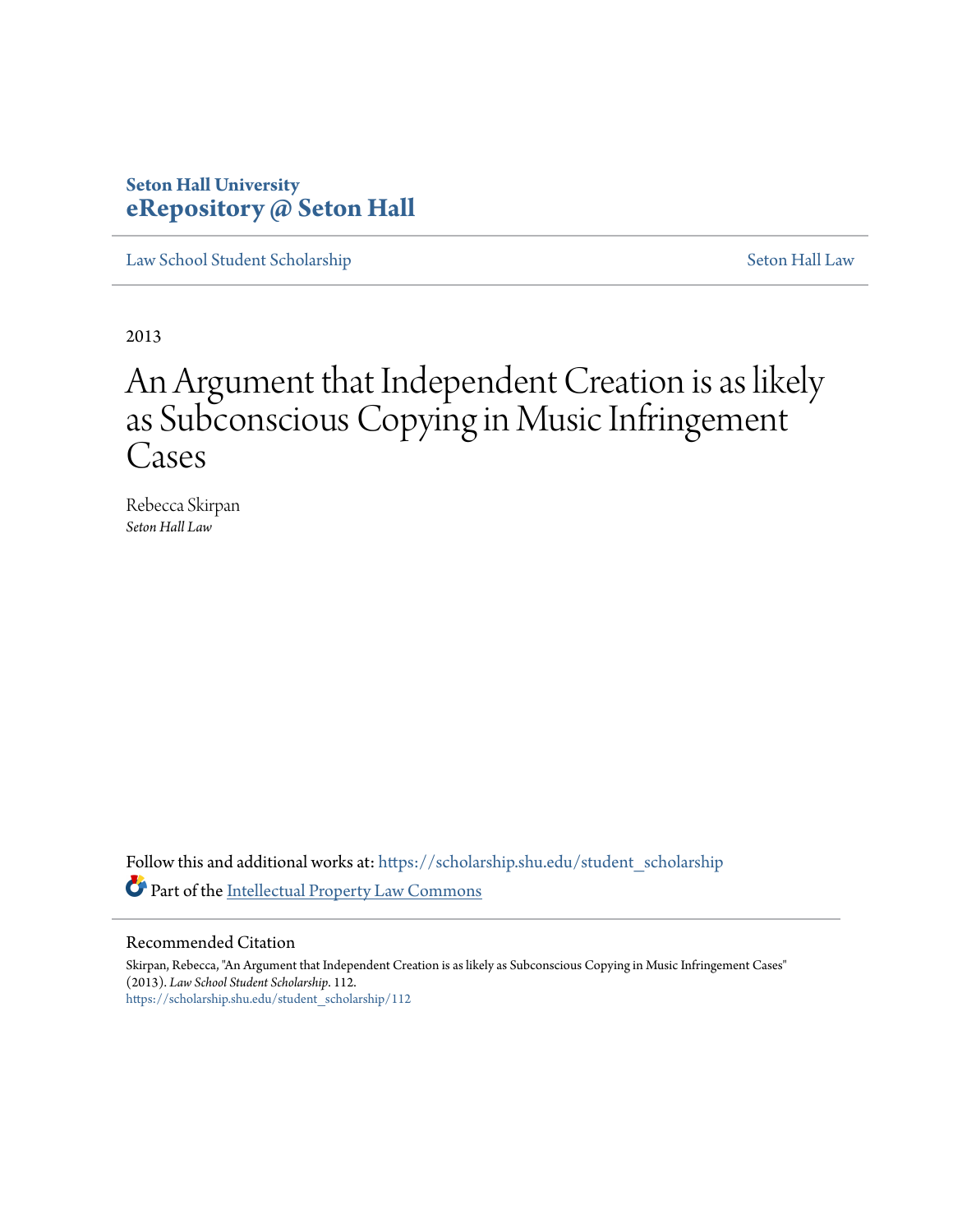## **Seton Hall University [eRepository @ Seton Hall](https://scholarship.shu.edu?utm_source=scholarship.shu.edu%2Fstudent_scholarship%2F112&utm_medium=PDF&utm_campaign=PDFCoverPages)**

[Law School Student Scholarship](https://scholarship.shu.edu/student_scholarship?utm_source=scholarship.shu.edu%2Fstudent_scholarship%2F112&utm_medium=PDF&utm_campaign=PDFCoverPages) [Seton Hall Law](https://scholarship.shu.edu/law?utm_source=scholarship.shu.edu%2Fstudent_scholarship%2F112&utm_medium=PDF&utm_campaign=PDFCoverPages)

2013

# An Argument that Independent Creation is as likely as Subconscious Copying in Music Infringement Cases

Rebecca Skirpan *Seton Hall Law*

Follow this and additional works at: [https://scholarship.shu.edu/student\\_scholarship](https://scholarship.shu.edu/student_scholarship?utm_source=scholarship.shu.edu%2Fstudent_scholarship%2F112&utm_medium=PDF&utm_campaign=PDFCoverPages) Part of the [Intellectual Property Law Commons](http://network.bepress.com/hgg/discipline/896?utm_source=scholarship.shu.edu%2Fstudent_scholarship%2F112&utm_medium=PDF&utm_campaign=PDFCoverPages)

#### Recommended Citation

Skirpan, Rebecca, "An Argument that Independent Creation is as likely as Subconscious Copying in Music Infringement Cases" (2013). *Law School Student Scholarship*. 112. [https://scholarship.shu.edu/student\\_scholarship/112](https://scholarship.shu.edu/student_scholarship/112?utm_source=scholarship.shu.edu%2Fstudent_scholarship%2F112&utm_medium=PDF&utm_campaign=PDFCoverPages)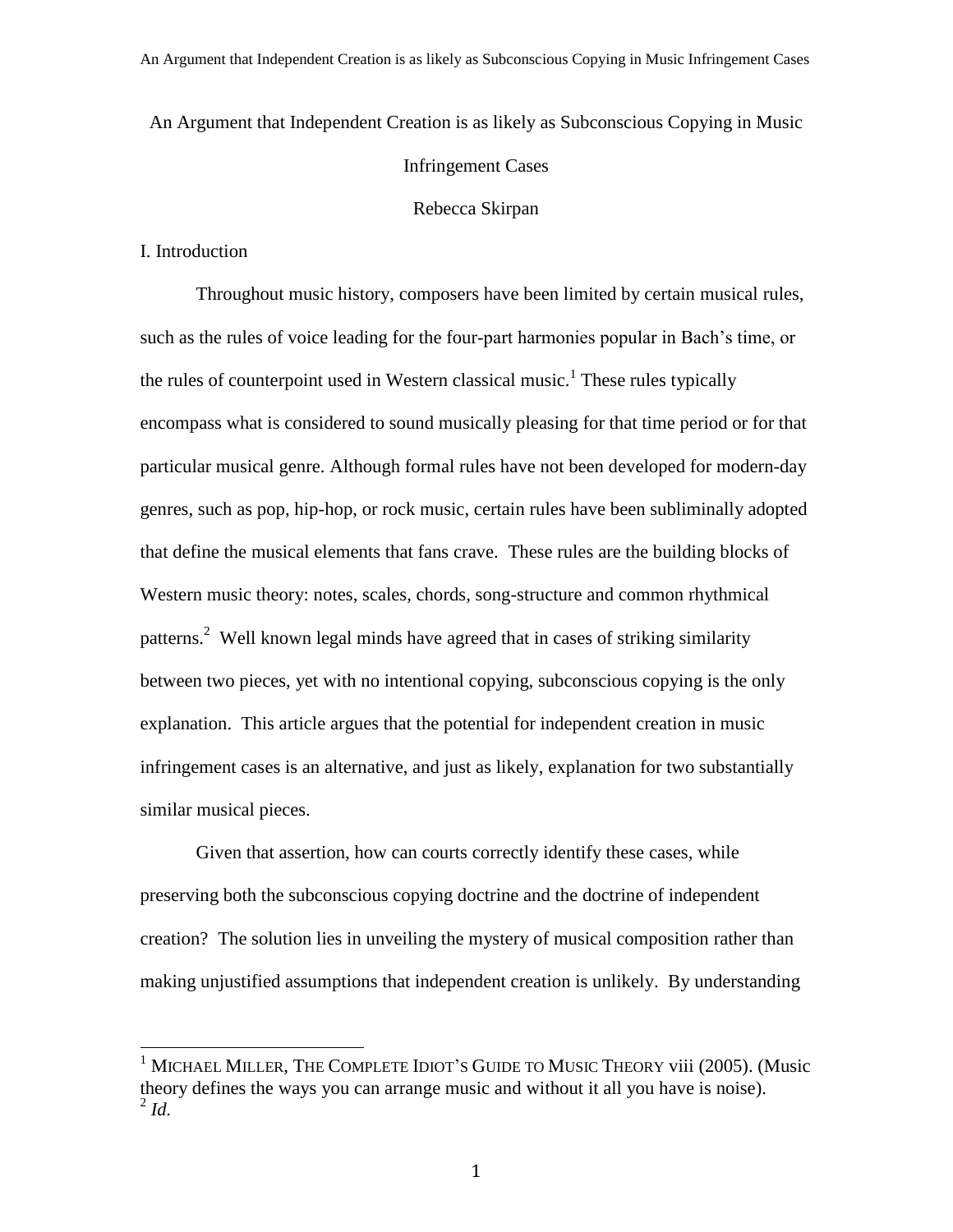An Argument that Independent Creation is as likely as Subconscious Copying in Music

#### Infringement Cases

#### Rebecca Skirpan

I. Introduction

l

Throughout music history, composers have been limited by certain musical rules, such as the rules of voice leading for the four-part harmonies popular in Bach's time, or the rules of counterpoint used in Western classical music.<sup>1</sup> These rules typically encompass what is considered to sound musically pleasing for that time period or for that particular musical genre. Although formal rules have not been developed for modern-day genres, such as pop, hip-hop, or rock music, certain rules have been subliminally adopted that define the musical elements that fans crave. These rules are the building blocks of Western music theory: notes, scales, chords, song-structure and common rhythmical patterns.<sup>2</sup> Well known legal minds have agreed that in cases of striking similarity between two pieces, yet with no intentional copying, subconscious copying is the only explanation. This article argues that the potential for independent creation in music infringement cases is an alternative, and just as likely, explanation for two substantially similar musical pieces.

Given that assertion, how can courts correctly identify these cases, while preserving both the subconscious copying doctrine and the doctrine of independent creation? The solution lies in unveiling the mystery of musical composition rather than making unjustified assumptions that independent creation is unlikely. By understanding

<sup>&</sup>lt;sup>1</sup> MICHAEL MILLER, THE COMPLETE IDIOT'S GUIDE TO MUSIC THEORY viii (2005). (Music theory defines the ways you can arrange music and without it all you have is noise). 2 *Id.*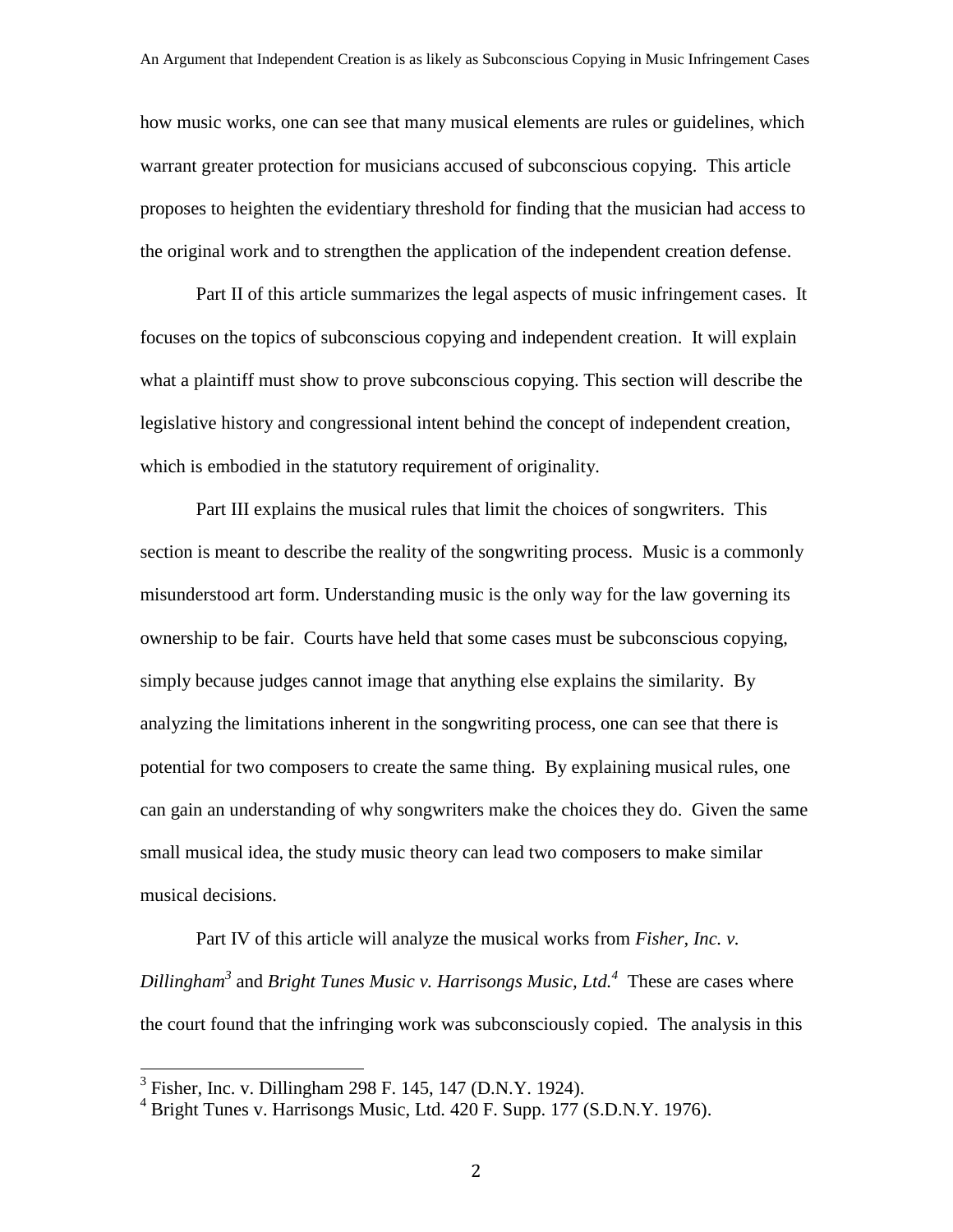how music works, one can see that many musical elements are rules or guidelines, which warrant greater protection for musicians accused of subconscious copying. This article proposes to heighten the evidentiary threshold for finding that the musician had access to the original work and to strengthen the application of the independent creation defense.

Part II of this article summarizes the legal aspects of music infringement cases. It focuses on the topics of subconscious copying and independent creation. It will explain what a plaintiff must show to prove subconscious copying. This section will describe the legislative history and congressional intent behind the concept of independent creation, which is embodied in the statutory requirement of originality.

Part III explains the musical rules that limit the choices of songwriters. This section is meant to describe the reality of the songwriting process. Music is a commonly misunderstood art form. Understanding music is the only way for the law governing its ownership to be fair. Courts have held that some cases must be subconscious copying, simply because judges cannot image that anything else explains the similarity. By analyzing the limitations inherent in the songwriting process, one can see that there is potential for two composers to create the same thing. By explaining musical rules, one can gain an understanding of why songwriters make the choices they do. Given the same small musical idea, the study music theory can lead two composers to make similar musical decisions.

Part IV of this article will analyze the musical works from *Fisher, Inc. v. Dillingham<sup>3</sup>* and *Bright Tunes Music v. Harrisongs Music, Ltd. 4* These are cases where the court found that the infringing work was subconsciously copied. The analysis in this

 3 Fisher, Inc. v. Dillingham 298 F. 145, 147 (D.N.Y. 1924).

 $4$  Bright Tunes v. Harrisongs Music, Ltd. 420 F. Supp. 177 (S.D.N.Y. 1976).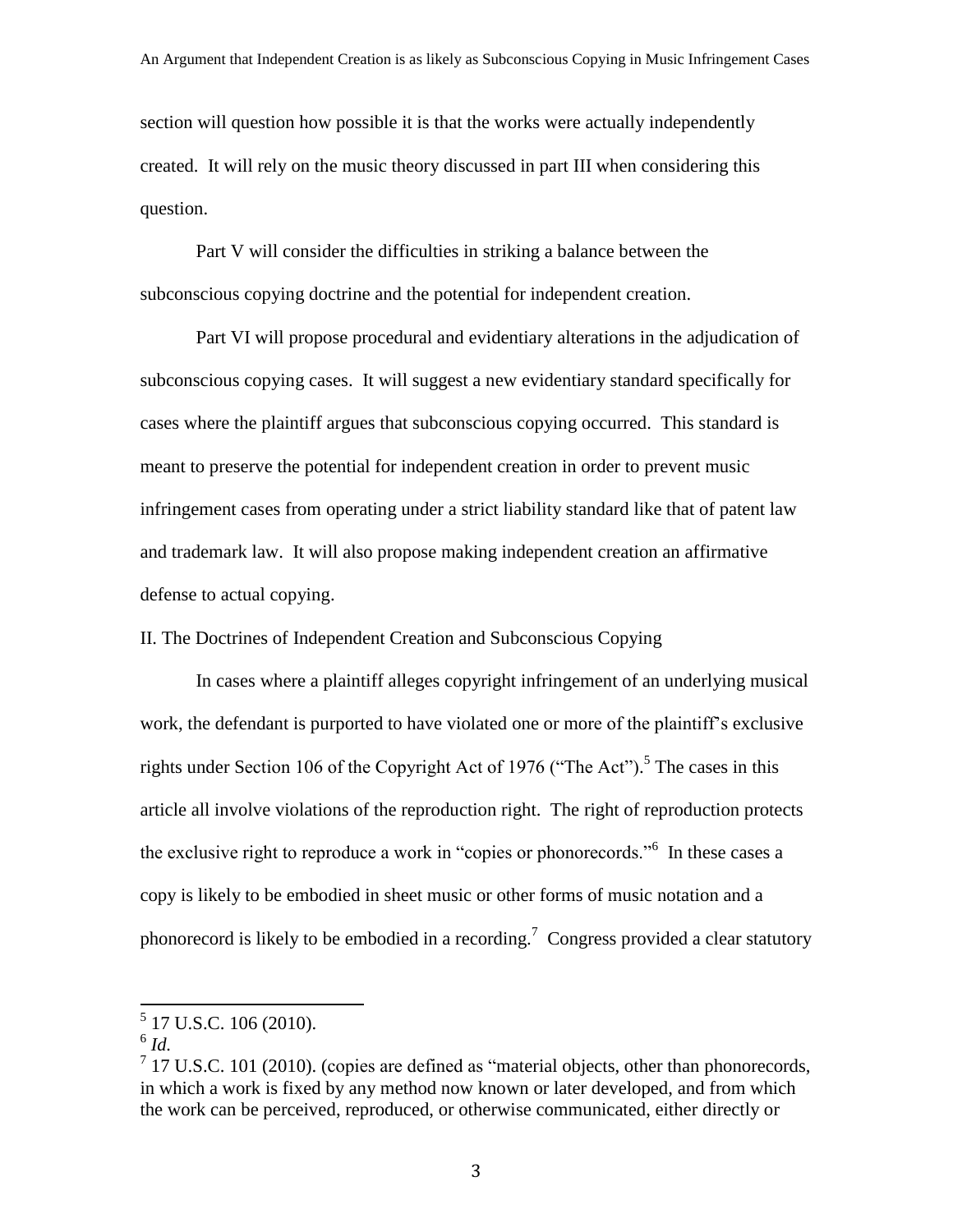section will question how possible it is that the works were actually independently created. It will rely on the music theory discussed in part III when considering this question.

Part V will consider the difficulties in striking a balance between the subconscious copying doctrine and the potential for independent creation.

Part VI will propose procedural and evidentiary alterations in the adjudication of subconscious copying cases. It will suggest a new evidentiary standard specifically for cases where the plaintiff argues that subconscious copying occurred. This standard is meant to preserve the potential for independent creation in order to prevent music infringement cases from operating under a strict liability standard like that of patent law and trademark law. It will also propose making independent creation an affirmative defense to actual copying.

II. The Doctrines of Independent Creation and Subconscious Copying

In cases where a plaintiff alleges copyright infringement of an underlying musical work, the defendant is purported to have violated one or more of the plaintiff's exclusive rights under Section 106 of the Copyright Act of 1976 ("The Act").<sup>5</sup> The cases in this article all involve violations of the reproduction right. The right of reproduction protects the exclusive right to reproduce a work in "copies or phonorecords."<sup>6</sup> In these cases a copy is likely to be embodied in sheet music or other forms of music notation and a phonorecord is likely to be embodied in a recording.<sup>7</sup> Congress provided a clear statutory

 5 17 U.S.C. 106 (2010).

<sup>6</sup> *Id.*

 $7$  17 U.S.C. 101 (2010). (copies are defined as "material objects, other than phonorecords, in which a work is fixed by any method now known or later developed, and from which the work can be perceived, reproduced, or otherwise communicated, either directly or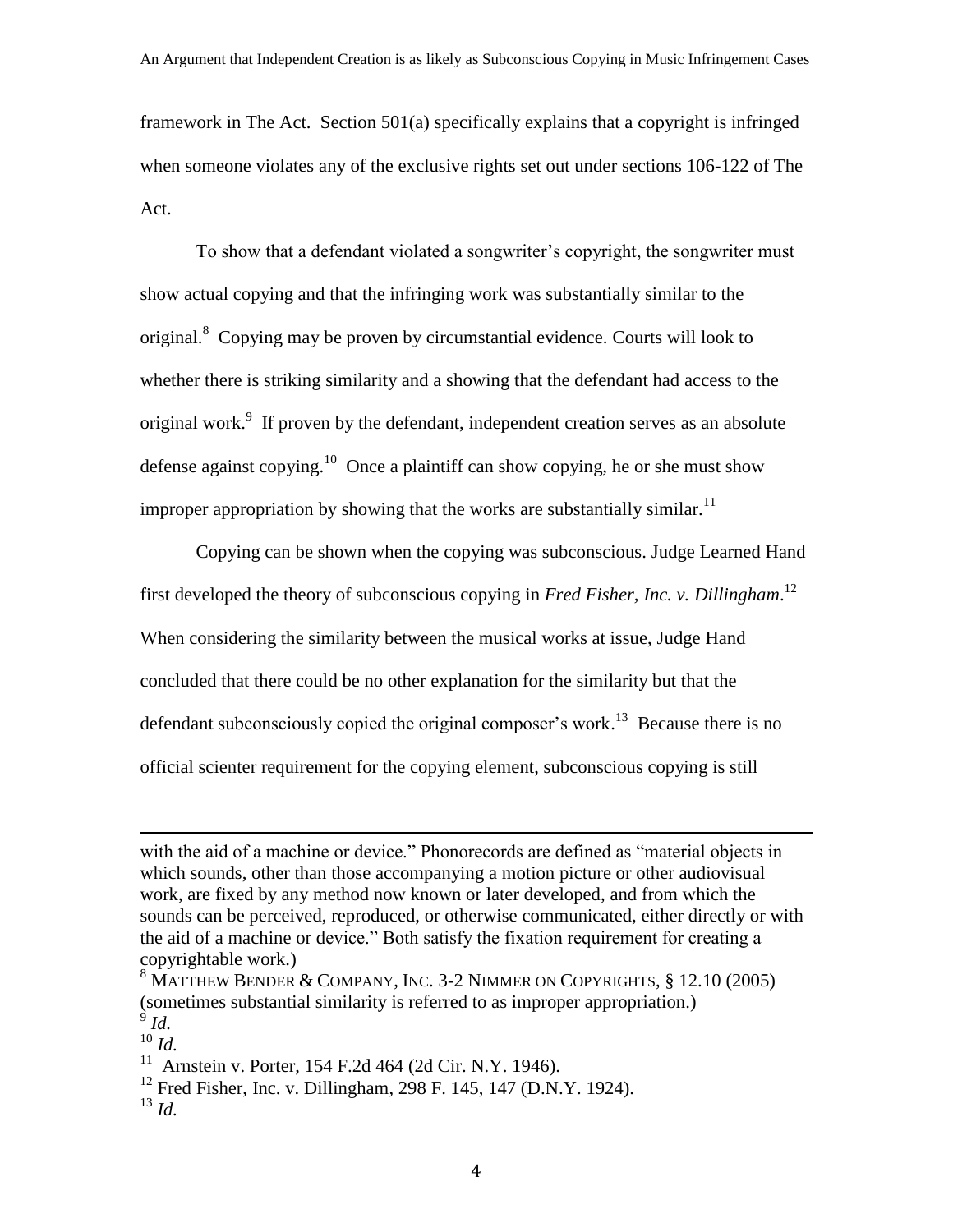framework in The Act. Section 501(a) specifically explains that a copyright is infringed when someone violates any of the exclusive rights set out under sections 106-122 of The Act.

To show that a defendant violated a songwriter's copyright, the songwriter must show actual copying and that the infringing work was substantially similar to the original.<sup>8</sup> Copying may be proven by circumstantial evidence. Courts will look to whether there is striking similarity and a showing that the defendant had access to the original work.<sup>9</sup> If proven by the defendant, independent creation serves as an absolute defense against copying.<sup>10</sup> Once a plaintiff can show copying, he or she must show improper appropriation by showing that the works are substantially similar.<sup>11</sup>

Copying can be shown when the copying was subconscious. Judge Learned Hand first developed the theory of subconscious copying in *Fred Fisher, Inc. v. Dillingham*. 12 When considering the similarity between the musical works at issue, Judge Hand concluded that there could be no other explanation for the similarity but that the defendant subconsciously copied the original composer's work.<sup>13</sup> Because there is no official scienter requirement for the copying element, subconscious copying is still

with the aid of a machine or device." Phonorecords are defined as "material objects in which sounds, other than those accompanying a motion picture or other audiovisual work, are fixed by any method now known or later developed, and from which the sounds can be perceived, reproduced, or otherwise communicated, either directly or with the aid of a machine or device." Both satisfy the fixation requirement for creating a copyrightable work.)

 $8$  Matthew Bender & Company, Inc. 3-2 Nimmer on Copyrights,  $\S$  12.10 (2005) (sometimes substantial similarity is referred to as improper appropriation.) 9 *Id.*

<sup>10</sup> *Id.*

<sup>&</sup>lt;sup>11</sup> Arnstein v. Porter, 154 F.2d 464 (2d Cir. N.Y. 1946).

<sup>&</sup>lt;sup>12</sup> Fred Fisher, Inc. v. Dillingham, 298 F. 145, 147 (D.N.Y. 1924).

<sup>13</sup> *Id.*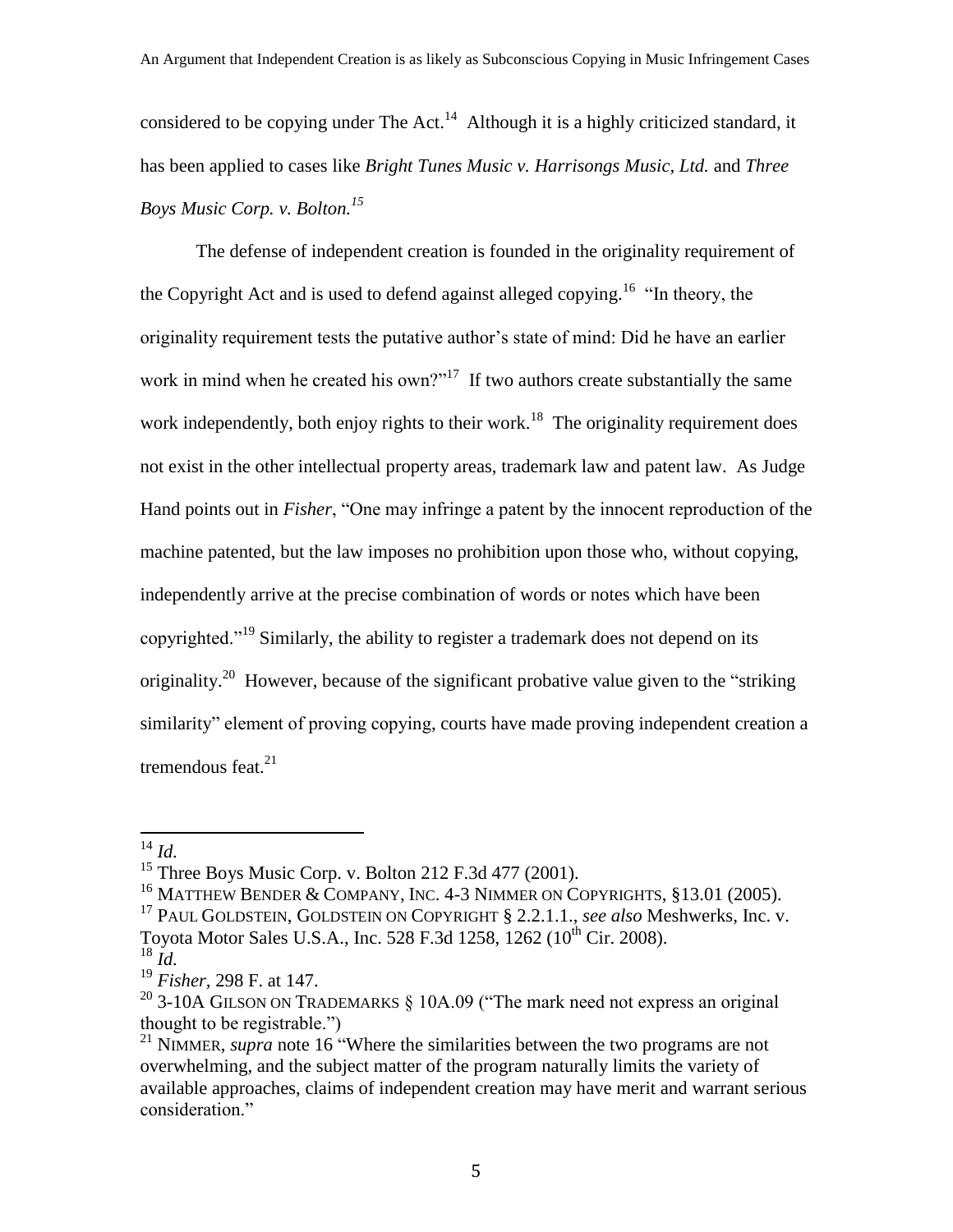considered to be copying under The Act.<sup>14</sup> Although it is a highly criticized standard, it has been applied to cases like *Bright Tunes Music v. Harrisongs Music, Ltd.* and *Three Boys Music Corp. v. Bolton. 15*

The defense of independent creation is founded in the originality requirement of the Copyright Act and is used to defend against alleged copying.<sup>16</sup> "In theory, the originality requirement tests the putative author's state of mind: Did he have an earlier work in mind when he created his own?"<sup>17</sup> If two authors create substantially the same work independently, both enjoy rights to their work.<sup>18</sup> The originality requirement does not exist in the other intellectual property areas, trademark law and patent law. As Judge Hand points out in *Fisher*, "One may infringe a patent by the innocent reproduction of the machine patented, but the law imposes no prohibition upon those who, without copying, independently arrive at the precise combination of words or notes which have been copyrighted."<sup>19</sup> Similarly, the ability to register a trademark does not depend on its originality.<sup>20</sup> However, because of the significant probative value given to the "striking" similarity" element of proving copying, courts have made proving independent creation a tremendous feat. $21$ 

<sup>14</sup> *Id.*

<sup>&</sup>lt;sup>15</sup> Three Boys Music Corp. v. Bolton 212 F.3d 477 (2001).

<sup>&</sup>lt;sup>16</sup> MATTHEW BENDER & COMPANY, INC. 4-3 NIMMER ON COPYRIGHTS,  $§13.01$  (2005).

<sup>17</sup> PAUL GOLDSTEIN, GOLDSTEIN ON COPYRIGHT § 2.2.1.1., *see also* Meshwerks, Inc. v. Toyota Motor Sales U.S.A., Inc. 528 F.3d 1258, 1262 (10<sup>th</sup> Cir. 2008).

<sup>18</sup> *Id.*

<sup>19</sup> *Fisher,* 298 F. at 147.

<sup>&</sup>lt;sup>20</sup> 3-10A GILSON ON TRADEMARKS  $\S$  10A.09 ("The mark need not express an original thought to be registrable.")

<sup>&</sup>lt;sup>21</sup> NIMMER, *supra* note 16 "Where the similarities between the two programs are not overwhelming, and the subject matter of the program naturally limits the variety of available approaches, claims of independent creation may have merit and warrant serious consideration."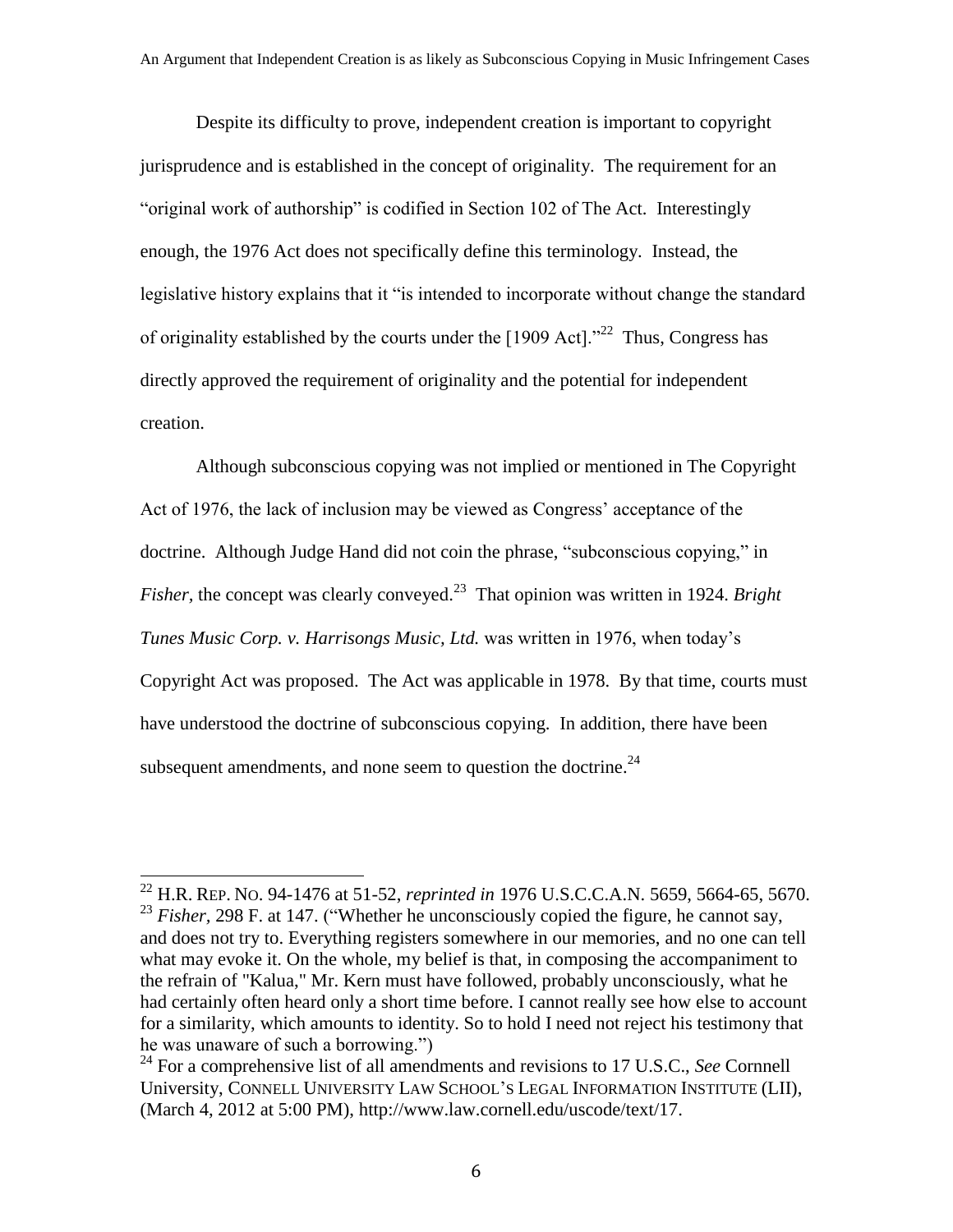Despite its difficulty to prove, independent creation is important to copyright jurisprudence and is established in the concept of originality. The requirement for an "original work of authorship" is codified in Section 102 of The Act. Interestingly enough, the 1976 Act does not specifically define this terminology. Instead, the legislative history explains that it "is intended to incorporate without change the standard of originality established by the courts under the  $[1909 \,\text{Act}]$ ."<sup>22</sup> Thus, Congress has directly approved the requirement of originality and the potential for independent creation.

Although subconscious copying was not implied or mentioned in The Copyright Act of 1976, the lack of inclusion may be viewed as Congress' acceptance of the doctrine. Although Judge Hand did not coin the phrase, "subconscious copying," in *Fisher*, the concept was clearly conveyed.<sup>23</sup> That opinion was written in 1924. *Bright Tunes Music Corp. v. Harrisongs Music, Ltd.* was written in 1976, when today's Copyright Act was proposed. The Act was applicable in 1978. By that time, courts must have understood the doctrine of subconscious copying. In addition, there have been subsequent amendments, and none seem to question the doctrine. $^{24}$ 

<sup>22</sup> H.R. REP. NO. 94-1476 at 51-52, *reprinted in* 1976 U.S.C.C.A.N. 5659, 5664-65, 5670. <sup>23</sup> *Fisher*, 298 F. at 147. ("Whether he unconsciously copied the figure, he cannot say, and does not try to. Everything registers somewhere in our memories, and no one can tell what may evoke it. On the whole, my belief is that, in composing the accompaniment to the refrain of "Kalua," Mr. Kern must have followed, probably unconsciously, what he had certainly often heard only a short time before. I cannot really see how else to account for a similarity, which amounts to identity. So to hold I need not reject his testimony that he was unaware of such a borrowing.")

<sup>&</sup>lt;sup>24</sup> For a comprehensive list of all amendments and revisions to 17 U.S.C., *See* Cornnell University, CONNELL UNIVERSITY LAW SCHOOL'S LEGAL INFORMATION INSTITUTE (LII), (March 4, 2012 at 5:00 PM), http://www.law.cornell.edu/uscode/text/17.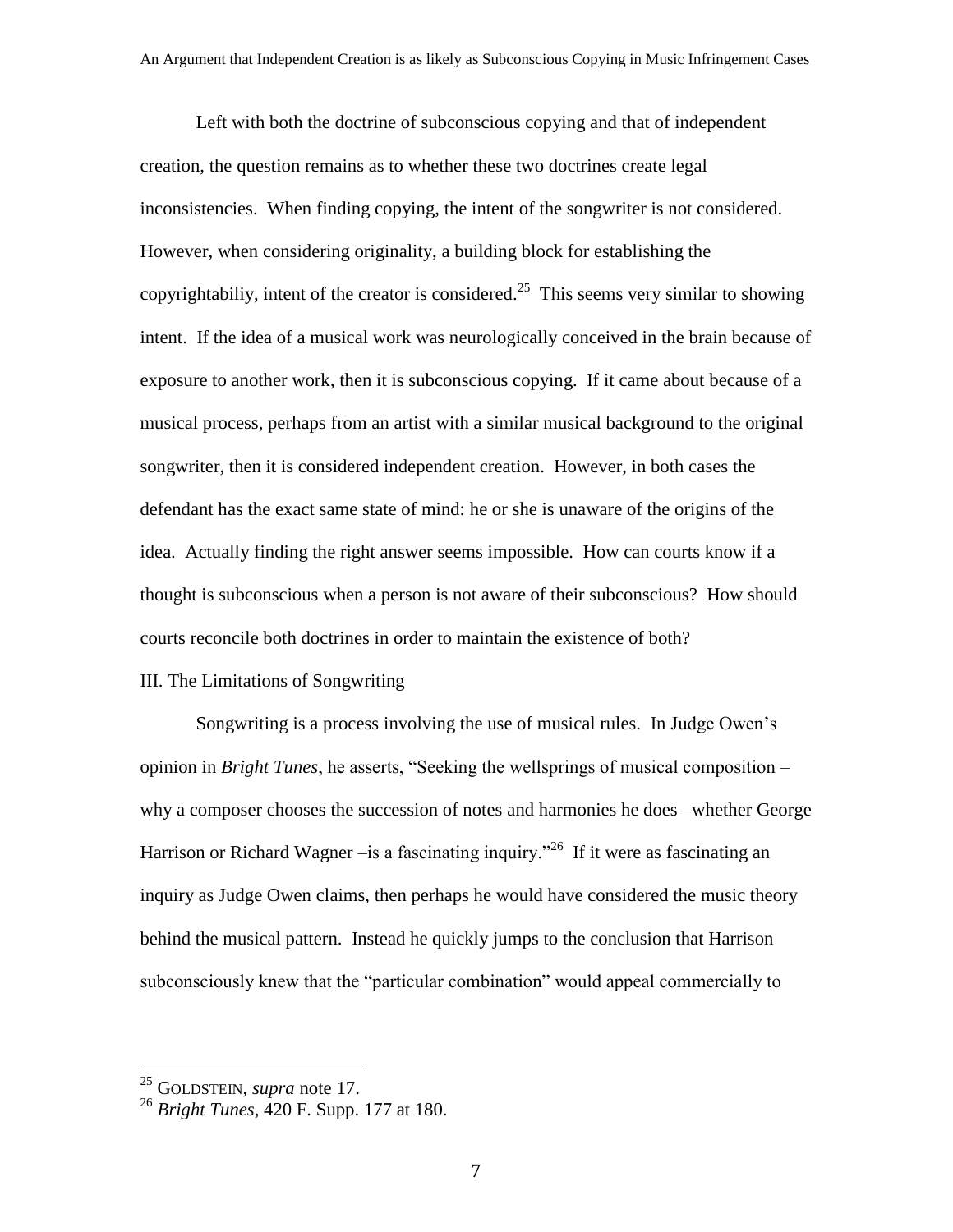Left with both the doctrine of subconscious copying and that of independent creation, the question remains as to whether these two doctrines create legal inconsistencies. When finding copying, the intent of the songwriter is not considered. However, when considering originality, a building block for establishing the copyrightabiliy, intent of the creator is considered.<sup>25</sup> This seems very similar to showing intent. If the idea of a musical work was neurologically conceived in the brain because of exposure to another work, then it is subconscious copying. If it came about because of a musical process, perhaps from an artist with a similar musical background to the original songwriter, then it is considered independent creation. However, in both cases the defendant has the exact same state of mind: he or she is unaware of the origins of the idea. Actually finding the right answer seems impossible. How can courts know if a thought is subconscious when a person is not aware of their subconscious? How should courts reconcile both doctrines in order to maintain the existence of both?

#### III. The Limitations of Songwriting

Songwriting is a process involving the use of musical rules. In Judge Owen's opinion in *Bright Tunes*, he asserts, "Seeking the wellsprings of musical composition – why a composer chooses the succession of notes and harmonies he does –whether George Harrison or Richard Wagner –is a fascinating inquiry."<sup>26</sup> If it were as fascinating an inquiry as Judge Owen claims, then perhaps he would have considered the music theory behind the musical pattern. Instead he quickly jumps to the conclusion that Harrison subconsciously knew that the "particular combination" would appeal commercially to

<sup>25</sup> GOLDSTEIN, *supra* note 17.

<sup>26</sup> *Bright Tunes*, 420 F. Supp. 177 at 180.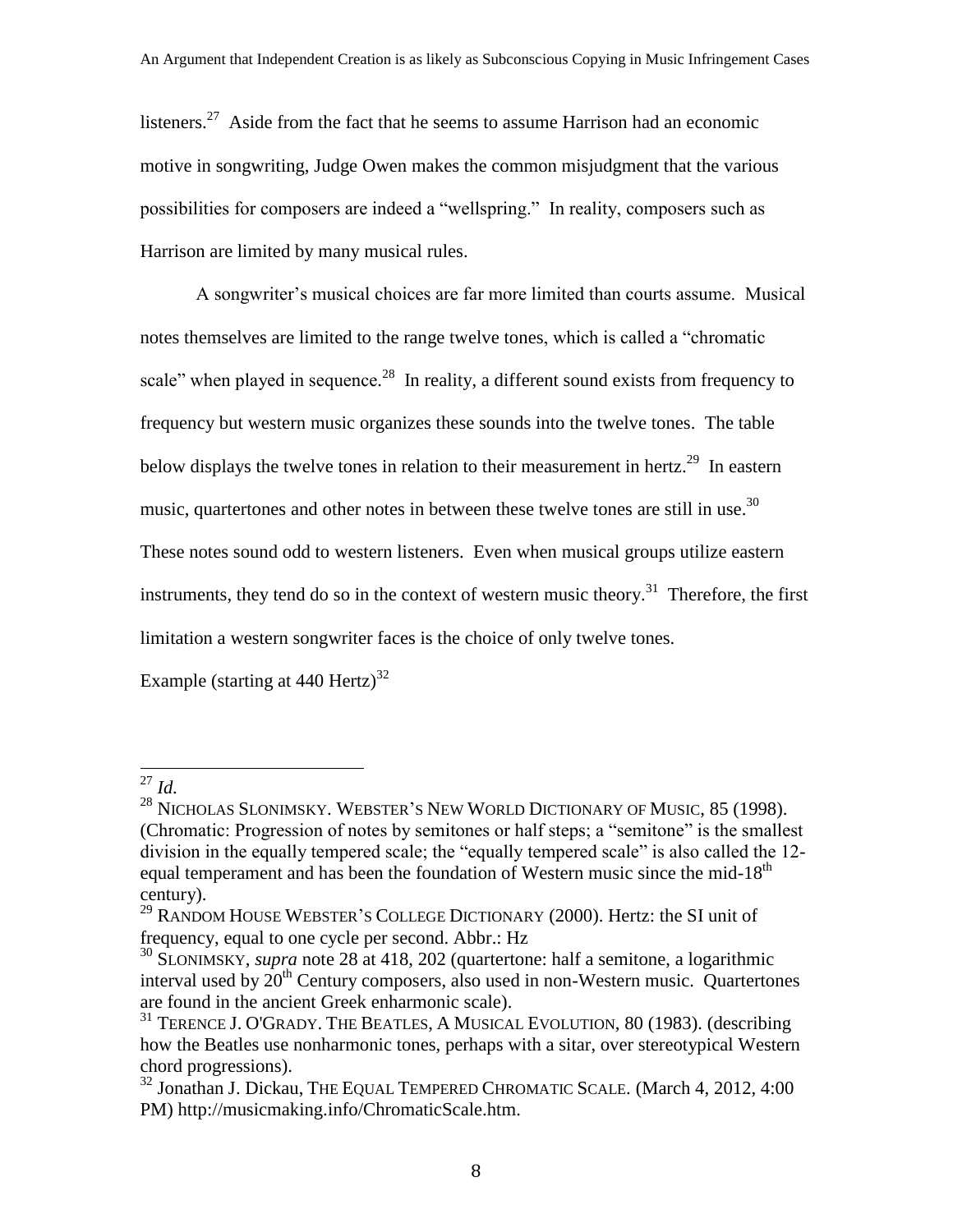listeners.<sup>27</sup> Aside from the fact that he seems to assume Harrison had an economic motive in songwriting, Judge Owen makes the common misjudgment that the various possibilities for composers are indeed a "wellspring." In reality, composers such as Harrison are limited by many musical rules.

A songwriter's musical choices are far more limited than courts assume. Musical notes themselves are limited to the range twelve tones, which is called a "chromatic scale" when played in sequence.<sup>28</sup> In reality, a different sound exists from frequency to frequency but western music organizes these sounds into the twelve tones. The table below displays the twelve tones in relation to their measurement in hertz.<sup>29</sup> In eastern music, quartertones and other notes in between these twelve tones are still in use.<sup>30</sup> These notes sound odd to western listeners. Even when musical groups utilize eastern instruments, they tend do so in the context of western music theory.<sup>31</sup> Therefore, the first limitation a western songwriter faces is the choice of only twelve tones.

Example (starting at 440 Hertz)<sup>32</sup>

<sup>27</sup> *Id.*

<sup>&</sup>lt;sup>28</sup> NICHOLAS SLONIMSKY. WEBSTER'S NEW WORLD DICTIONARY OF MUSIC, 85 (1998). (Chromatic: Progression of notes by semitones or half steps; a "semitone" is the smallest division in the equally tempered scale; the "equally tempered scale" is also called the 12 equal temperament and has been the foundation of Western music since the mid-18<sup>th</sup> century).

 $^{29}$  RANDOM HOUSE WEBSTER'S COLLEGE DICTIONARY (2000). Hertz: the SI unit of frequency, equal to one cycle per second. Abbr.: Hz

<sup>30</sup> SLONIMSKY, *supra* note 28 at 418, 202 (quartertone: half a semitone, a logarithmic interval used by  $20<sup>th</sup>$  Century composers, also used in non-Western music. Quartertones are found in the ancient Greek enharmonic scale).

<sup>&</sup>lt;sup>31</sup> TERENCE J. O'GRADY. THE BEATLES, A MUSICAL EVOLUTION, 80 (1983). (describing how the Beatles use nonharmonic tones, perhaps with a sitar, over stereotypical Western chord progressions).

<sup>&</sup>lt;sup>32</sup> Jonathan J. Dickau, THE EQUAL TEMPERED CHROMATIC SCALE. (March 4, 2012, 4:00 PM) http://musicmaking.info/ChromaticScale.htm.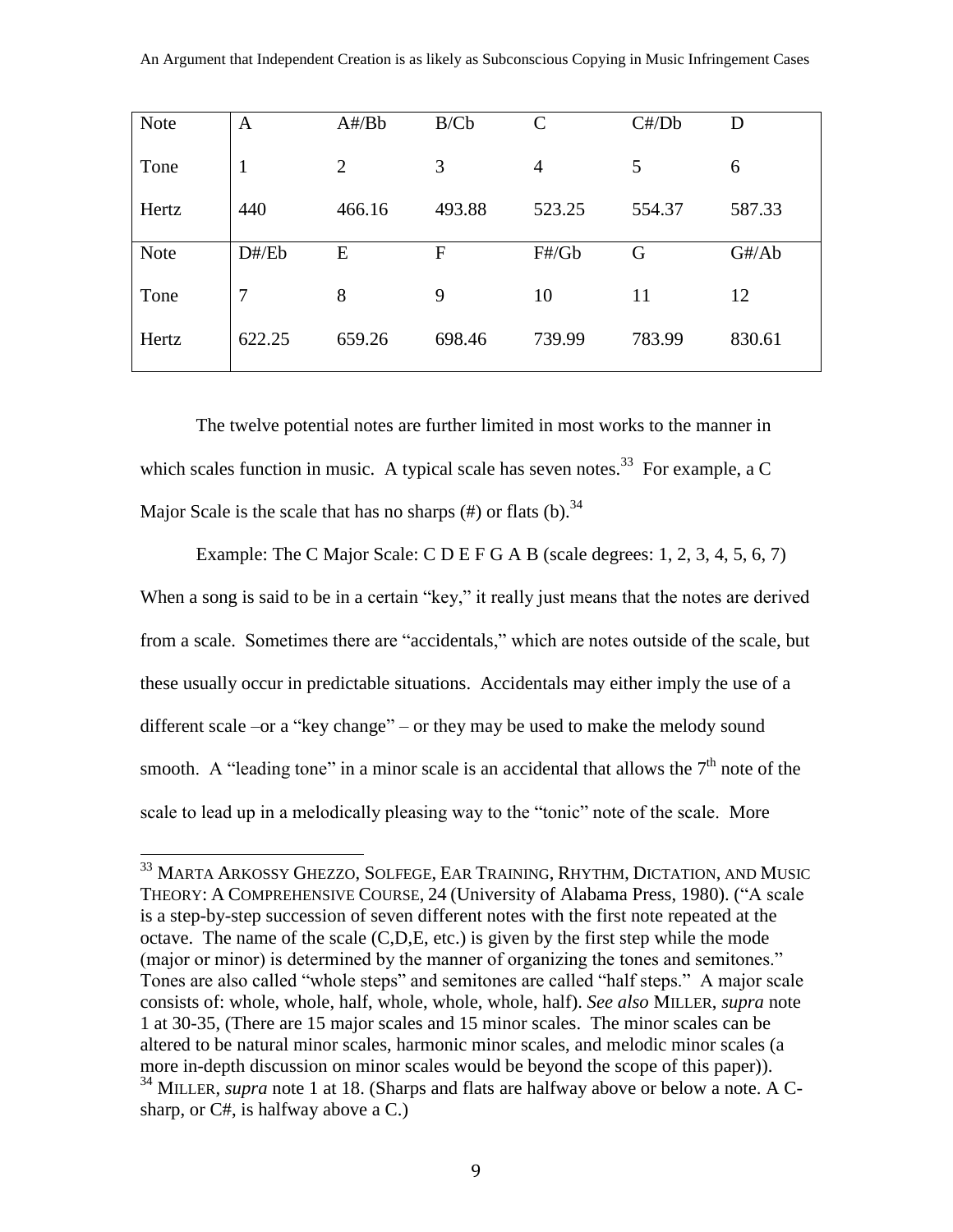| <b>Note</b> | A      | A#/Bb          | B/Cb   | $\mathsf{C}$   | C#/Db  | D      |
|-------------|--------|----------------|--------|----------------|--------|--------|
| Tone        | 1      | $\overline{2}$ | 3      | $\overline{4}$ | 5      | 6      |
| Hertz       | 440    | 466.16         | 493.88 | 523.25         | 554.37 | 587.33 |
| <b>Note</b> | D#/Eb  | E              | F      | F#/Gb          | G      | G#/Ab  |
| Tone        | 7      | 8              | 9      | 10             | 11     | 12     |
| Hertz       | 622.25 | 659.26         | 698.46 | 739.99         | 783.99 | 830.61 |

The twelve potential notes are further limited in most works to the manner in which scales function in music. A typical scale has seven notes.<sup>33</sup> For example, a C Major Scale is the scale that has no sharps  $(\#)$  or flats  $(b)$ . <sup>34</sup>

Example: The C Major Scale: C D E F G A B (scale degrees: 1, 2, 3, 4, 5, 6, 7) When a song is said to be in a certain "key," it really just means that the notes are derived from a scale. Sometimes there are "accidentals," which are notes outside of the scale, but these usually occur in predictable situations. Accidentals may either imply the use of a different scale –or a "key change" – or they may be used to make the melody sound smooth. A "leading tone" in a minor scale is an accidental that allows the  $7<sup>th</sup>$  note of the scale to lead up in a melodically pleasing way to the "tonic" note of the scale. More

 $^{33}$  Marta Arkossy Ghezzo, Solfege, Ear Training, Rhythm, Dictation, and Music THEORY: A COMPREHENSIVE COURSE, 24 (University of Alabama Press, 1980). ("A scale is a step-by-step succession of seven different notes with the first note repeated at the octave. The name of the scale (C,D,E, etc.) is given by the first step while the mode (major or minor) is determined by the manner of organizing the tones and semitones." Tones are also called "whole steps" and semitones are called "half steps." A major scale consists of: whole, whole, half, whole, whole, whole, half). *See also* MILLER, *supra* note 1 at 30-35, (There are 15 major scales and 15 minor scales. The minor scales can be altered to be natural minor scales, harmonic minor scales, and melodic minor scales (a more in-depth discussion on minor scales would be beyond the scope of this paper)). <sup>34</sup> MILLER, *supra* note 1 at 18. (Sharps and flats are halfway above or below a note. A Csharp, or C#, is halfway above a C.)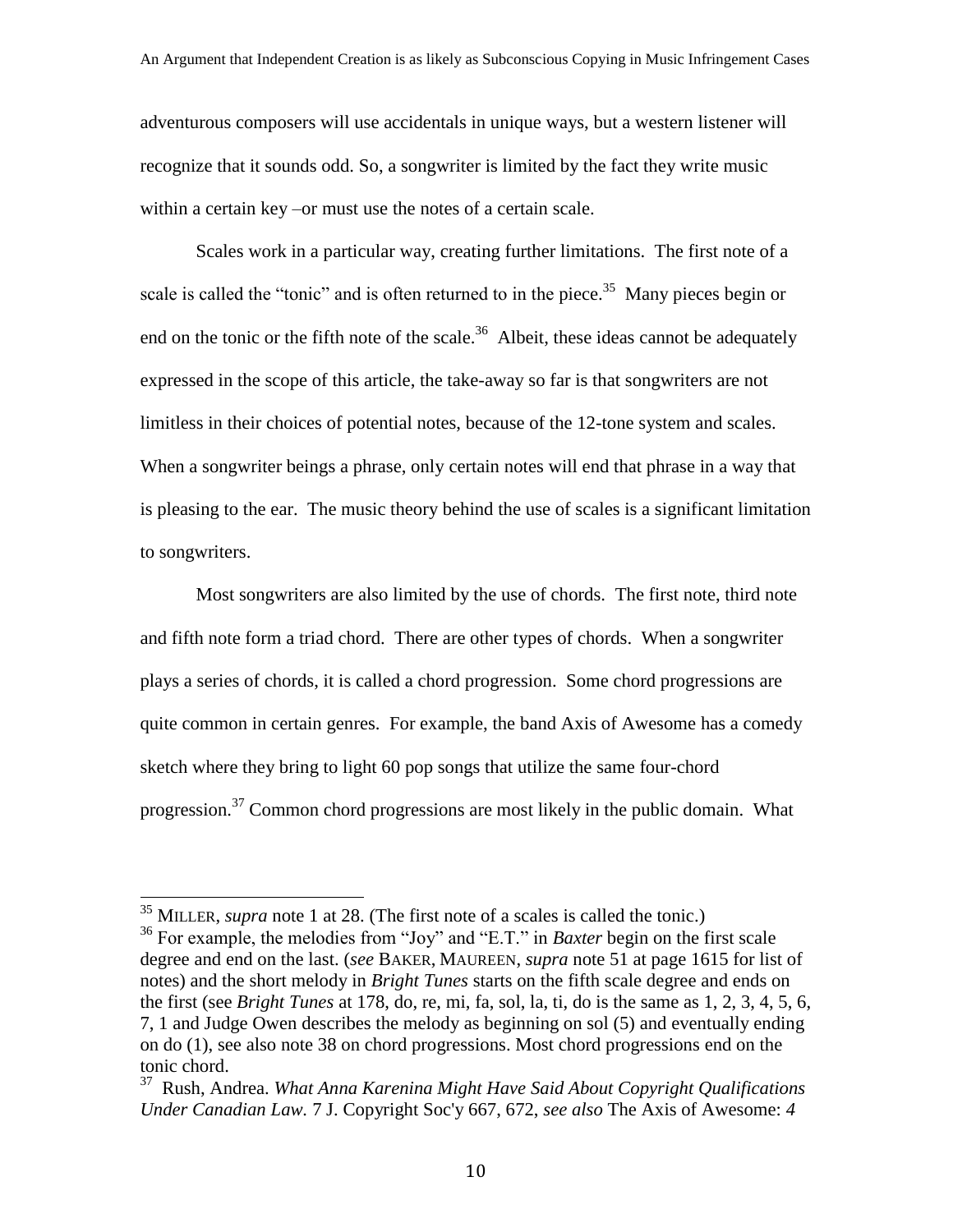adventurous composers will use accidentals in unique ways, but a western listener will recognize that it sounds odd. So, a songwriter is limited by the fact they write music within a certain key –or must use the notes of a certain scale.

Scales work in a particular way, creating further limitations. The first note of a scale is called the "tonic" and is often returned to in the piece.<sup>35</sup> Many pieces begin or end on the tonic or the fifth note of the scale.<sup>36</sup> Albeit, these ideas cannot be adequately expressed in the scope of this article, the take-away so far is that songwriters are not limitless in their choices of potential notes, because of the 12-tone system and scales. When a songwriter beings a phrase, only certain notes will end that phrase in a way that is pleasing to the ear. The music theory behind the use of scales is a significant limitation to songwriters.

Most songwriters are also limited by the use of chords. The first note, third note and fifth note form a triad chord. There are other types of chords. When a songwriter plays a series of chords, it is called a chord progression. Some chord progressions are quite common in certain genres. For example, the band Axis of Awesome has a comedy sketch where they bring to light 60 pop songs that utilize the same four-chord progression.<sup>37</sup> Common chord progressions are most likely in the public domain. What

<sup>35</sup> MILLER, *supra* note 1 at 28. (The first note of a scales is called the tonic.) <sup>36</sup> For example, the melodies from "Joy" and "E.T." in *Baxter* begin on the first scale degree and end on the last. (*see* BAKER, MAUREEN, *supra* note 51 at page 1615 for list of notes) and the short melody in *Bright Tunes* starts on the fifth scale degree and ends on the first (see *Bright Tunes* at 178, do, re, mi, fa, sol, la, ti, do is the same as 1, 2, 3, 4, 5, 6, 7, 1 and Judge Owen describes the melody as beginning on sol (5) and eventually ending on do (1), see also note 38 on chord progressions. Most chord progressions end on the tonic chord.

<sup>37</sup> Rush, Andrea. *What Anna Karenina Might Have Said About Copyright Qualifications Under Canadian Law.* 7 J. Copyright Soc'y 667, 672, *see also* The Axis of Awesome: *4*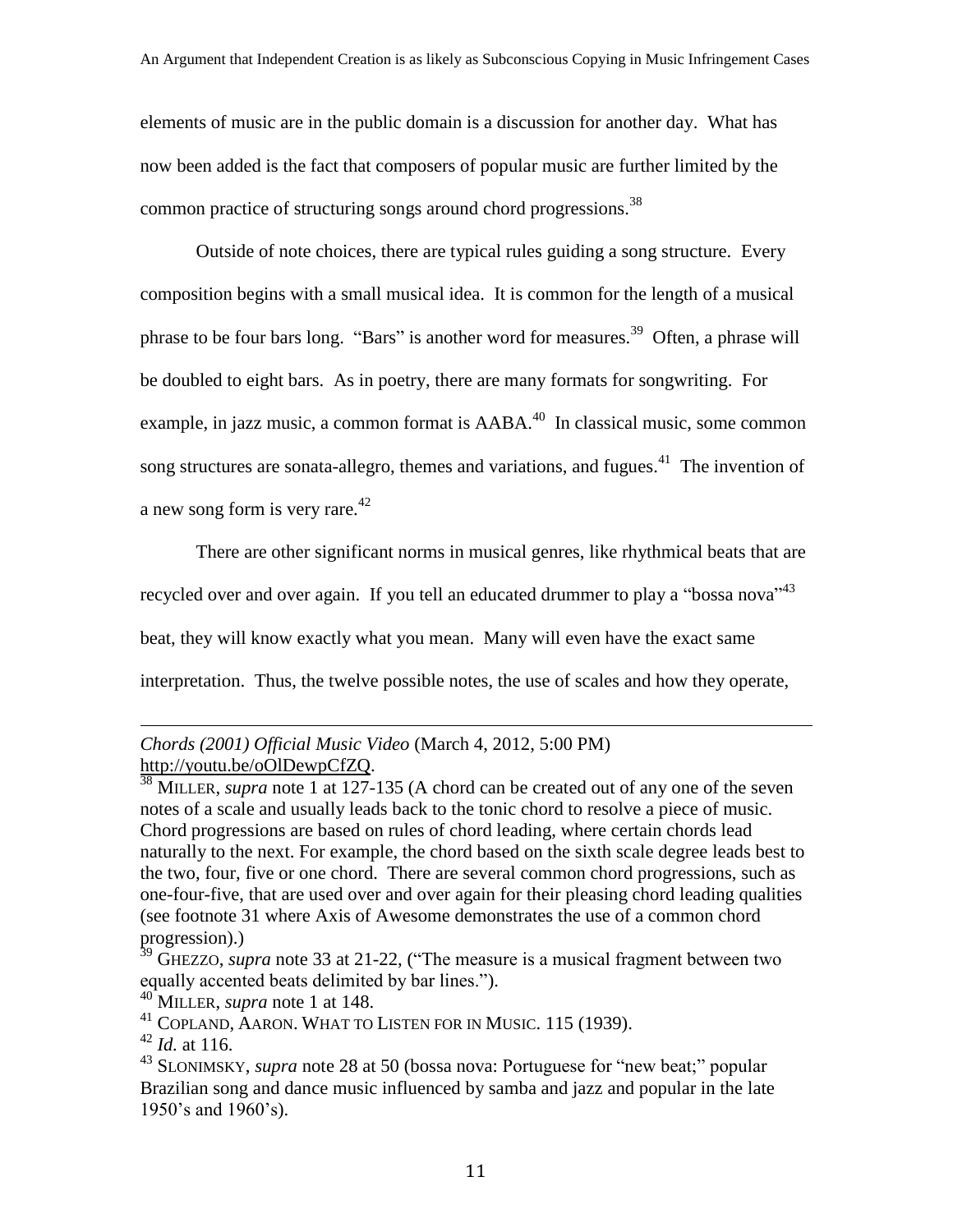elements of music are in the public domain is a discussion for another day. What has now been added is the fact that composers of popular music are further limited by the common practice of structuring songs around chord progressions.<sup>38</sup>

Outside of note choices, there are typical rules guiding a song structure. Every composition begins with a small musical idea. It is common for the length of a musical phrase to be four bars long. "Bars" is another word for measures.<sup>39</sup> Often, a phrase will be doubled to eight bars. As in poetry, there are many formats for songwriting. For example, in jazz music, a common format is  $AABA<sup>40</sup>$  In classical music, some common song structures are sonata-allegro, themes and variations, and fugues.<sup>41</sup> The invention of a new song form is very rare. $42$ 

There are other significant norms in musical genres, like rhythmical beats that are recycled over and over again. If you tell an educated drummer to play a "bossa nova"<sup>43</sup> beat, they will know exactly what you mean. Many will even have the exact same interpretation. Thus, the twelve possible notes, the use of scales and how they operate,

### *Chords (2001) Official Music Video* (March 4, 2012, 5:00 PM) [http://youtu.be/oOlDewpCfZQ.](http://youtu.be/oOlDewpCfZQ)

<sup>38</sup> MILLER, *supra* note 1 at 127-135 (A chord can be created out of any one of the seven notes of a scale and usually leads back to the tonic chord to resolve a piece of music. Chord progressions are based on rules of chord leading, where certain chords lead naturally to the next. For example, the chord based on the sixth scale degree leads best to the two, four, five or one chord. There are several common chord progressions, such as one-four-five, that are used over and over again for their pleasing chord leading qualities (see footnote 31 where Axis of Awesome demonstrates the use of a common chord progression).)

<sup>&</sup>lt;sup>39</sup> GHEZZO, *supra* note 33 at 21-22, ("The measure is a musical fragment between two equally accented beats delimited by bar lines.").

<sup>40</sup> MILLER, *supra* note 1 at 148.

<sup>41</sup> COPLAND, AARON. WHAT TO LISTEN FOR IN MUSIC. 115 (1939).

 $42$  *Id.* at 116.

<sup>43</sup> SLONIMSKY, *supra* note 28 at 50 (bossa nova: Portuguese for "new beat;" popular Brazilian song and dance music influenced by samba and jazz and popular in the late 1950's and 1960's).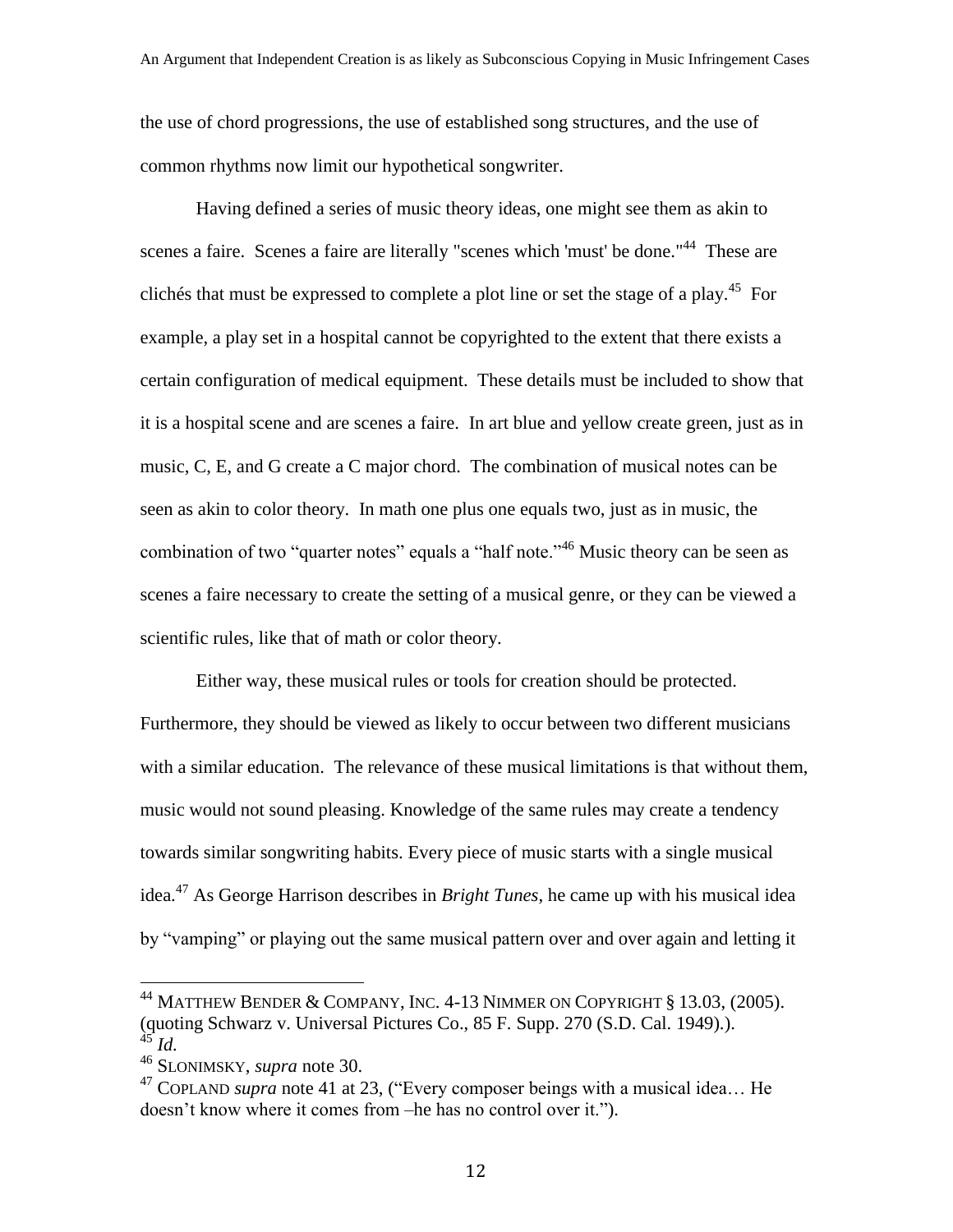the use of chord progressions, the use of established song structures, and the use of common rhythms now limit our hypothetical songwriter.

Having defined a series of music theory ideas, one might see them as akin to scenes a faire. Scenes a faire are literally "scenes which 'must' be done."<sup>44</sup> These are clichés that must be expressed to complete a plot line or set the stage of a play.<sup>45</sup> For example, a play set in a hospital cannot be copyrighted to the extent that there exists a certain configuration of medical equipment. These details must be included to show that it is a hospital scene and are scenes a faire. In art blue and yellow create green, just as in music, C, E, and G create a C major chord. The combination of musical notes can be seen as akin to color theory. In math one plus one equals two, just as in music, the combination of two "quarter notes" equals a "half note."<sup>46</sup> Music theory can be seen as scenes a faire necessary to create the setting of a musical genre, or they can be viewed a scientific rules, like that of math or color theory.

Either way, these musical rules or tools for creation should be protected. Furthermore, they should be viewed as likely to occur between two different musicians with a similar education. The relevance of these musical limitations is that without them, music would not sound pleasing. Knowledge of the same rules may create a tendency towards similar songwriting habits. Every piece of music starts with a single musical idea.<sup>47</sup> As George Harrison describes in *Bright Tunes*, he came up with his musical idea by "vamping" or playing out the same musical pattern over and over again and letting it

 $^{44}$  Matthew Bender & Company, Inc. 4-13 Nimmer on Copyright § 13.03, (2005). (quoting Schwarz v. Universal Pictures Co., 85 F. Supp. 270 (S.D. Cal. 1949).). <sup>45</sup> *Id.*

<sup>46</sup> SLONIMSKY, *supra* note 30.

<sup>&</sup>lt;sup>47</sup> COPLAND *supra* note 41 at 23, ("Every composer beings with a musical idea... He doesn't know where it comes from –he has no control over it.").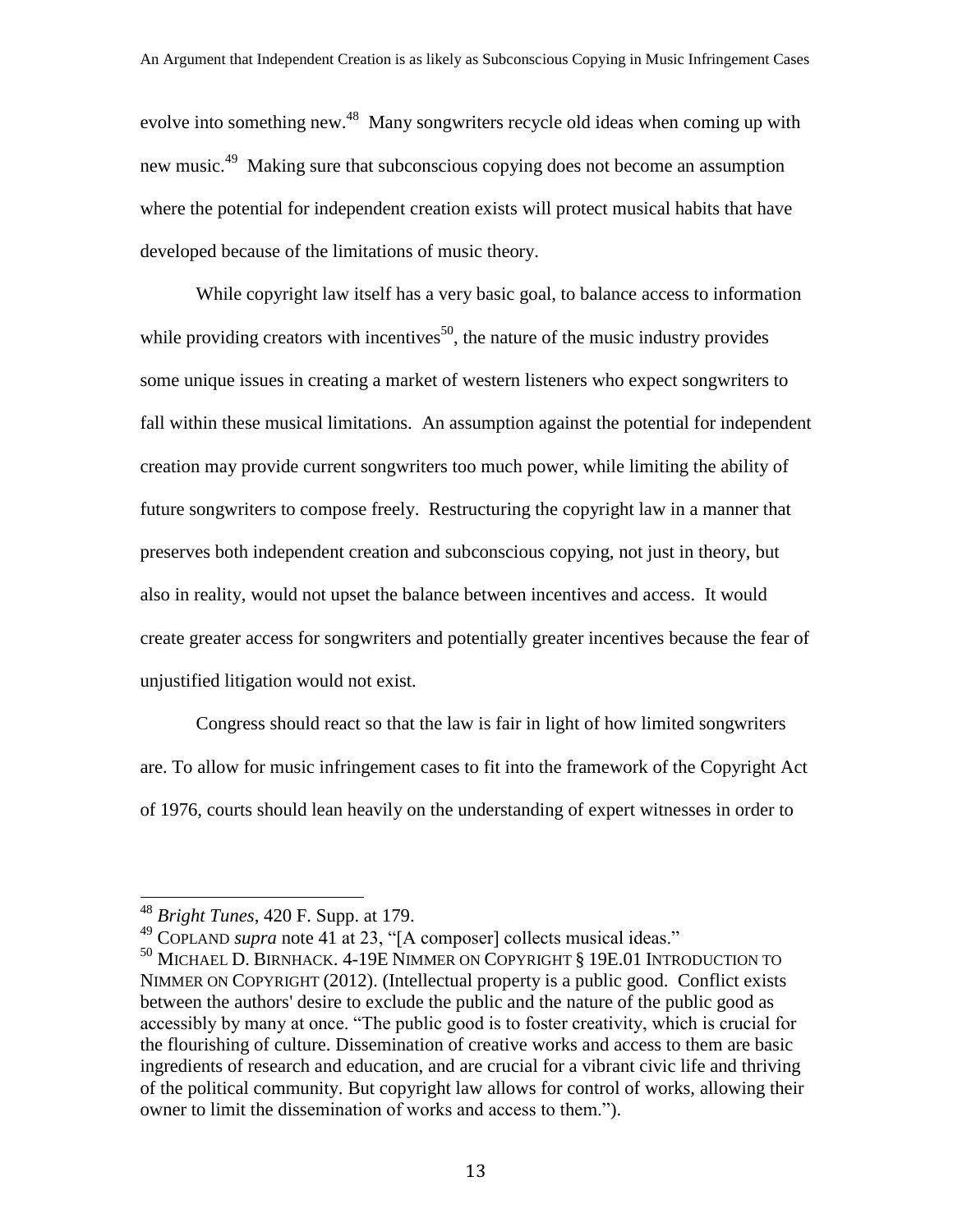evolve into something new.<sup>48</sup> Many songwriters recycle old ideas when coming up with new music.<sup>49</sup> Making sure that subconscious copying does not become an assumption where the potential for independent creation exists will protect musical habits that have developed because of the limitations of music theory.

While copyright law itself has a very basic goal, to balance access to information while providing creators with incentives<sup>50</sup>, the nature of the music industry provides some unique issues in creating a market of western listeners who expect songwriters to fall within these musical limitations. An assumption against the potential for independent creation may provide current songwriters too much power, while limiting the ability of future songwriters to compose freely. Restructuring the copyright law in a manner that preserves both independent creation and subconscious copying, not just in theory, but also in reality, would not upset the balance between incentives and access. It would create greater access for songwriters and potentially greater incentives because the fear of unjustified litigation would not exist.

Congress should react so that the law is fair in light of how limited songwriters are. To allow for music infringement cases to fit into the framework of the Copyright Act of 1976, courts should lean heavily on the understanding of expert witnesses in order to

<sup>48</sup> *Bright Tunes*, 420 F. Supp. at 179.

<sup>49</sup> COPLAND *supra* note 41 at 23, "[A composer] collects musical ideas."

<sup>50</sup> MICHAEL D. BIRNHACK. 4-19E NIMMER ON COPYRIGHT § 19E.01 INTRODUCTION TO NIMMER ON COPYRIGHT (2012). (Intellectual property is a public good. Conflict exists between the authors' desire to exclude the public and the nature of the public good as accessibly by many at once. "The public good is to foster creativity, which is crucial for the flourishing of culture. Dissemination of creative works and access to them are basic ingredients of research and education, and are crucial for a vibrant civic life and thriving of the political community. But copyright law allows for control of works, allowing their owner to limit the dissemination of works and access to them.").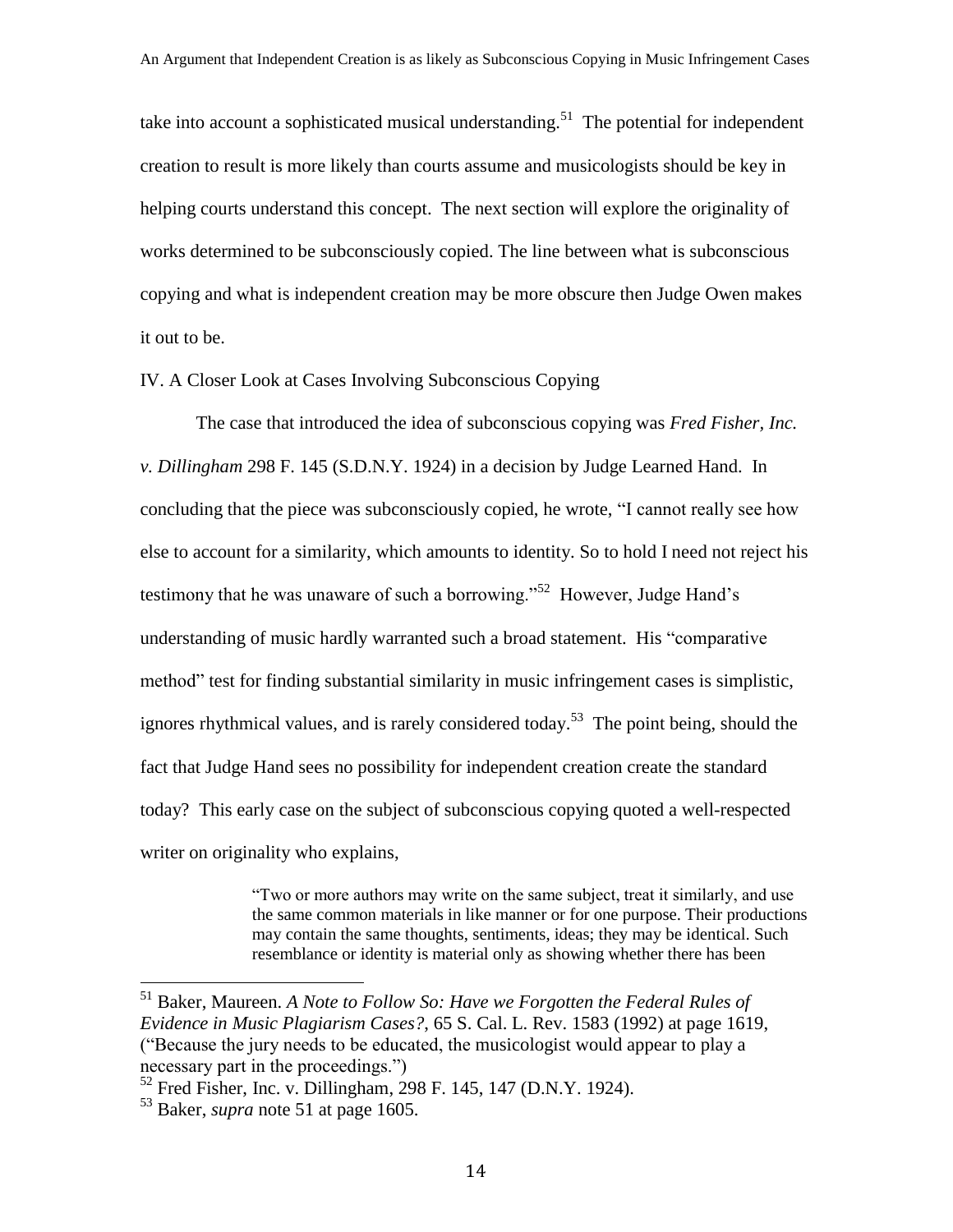take into account a sophisticated musical understanding.<sup>51</sup> The potential for independent creation to result is more likely than courts assume and musicologists should be key in helping courts understand this concept. The next section will explore the originality of works determined to be subconsciously copied. The line between what is subconscious copying and what is independent creation may be more obscure then Judge Owen makes it out to be.

#### IV. A Closer Look at Cases Involving Subconscious Copying

The case that introduced the idea of subconscious copying was *Fred Fisher, Inc. v. Dillingham* 298 F. 145 (S.D.N.Y. 1924) in a decision by Judge Learned Hand. In concluding that the piece was subconsciously copied, he wrote, "I cannot really see how else to account for a similarity, which amounts to identity. So to hold I need not reject his testimony that he was unaware of such a borrowing."<sup>52</sup> However, Judge Hand's understanding of music hardly warranted such a broad statement. His "comparative method" test for finding substantial similarity in music infringement cases is simplistic, ignores rhythmical values, and is rarely considered today.<sup>53</sup> The point being, should the fact that Judge Hand sees no possibility for independent creation create the standard today? This early case on the subject of subconscious copying quoted a well-respected writer on originality who explains,

> "Two or more authors may write on the same subject, treat it similarly, and use the same common materials in like manner or for one purpose. Their productions may contain the same thoughts, sentiments, ideas; they may be identical. Such resemblance or identity is material only as showing whether there has been

<sup>51</sup> Baker, Maureen. *A Note to Follow So: Have we Forgotten the Federal Rules of Evidence in Music Plagiarism Cases?*, 65 S. Cal. L. Rev. 1583 (1992) at page 1619, ("Because the jury needs to be educated, the musicologist would appear to play a necessary part in the proceedings.")

 $52$  Fred Fisher, Inc. v. Dillingham, 298 F. 145, 147 (D.N.Y. 1924).

<sup>53</sup> Baker, *supra* note 51 at page 1605.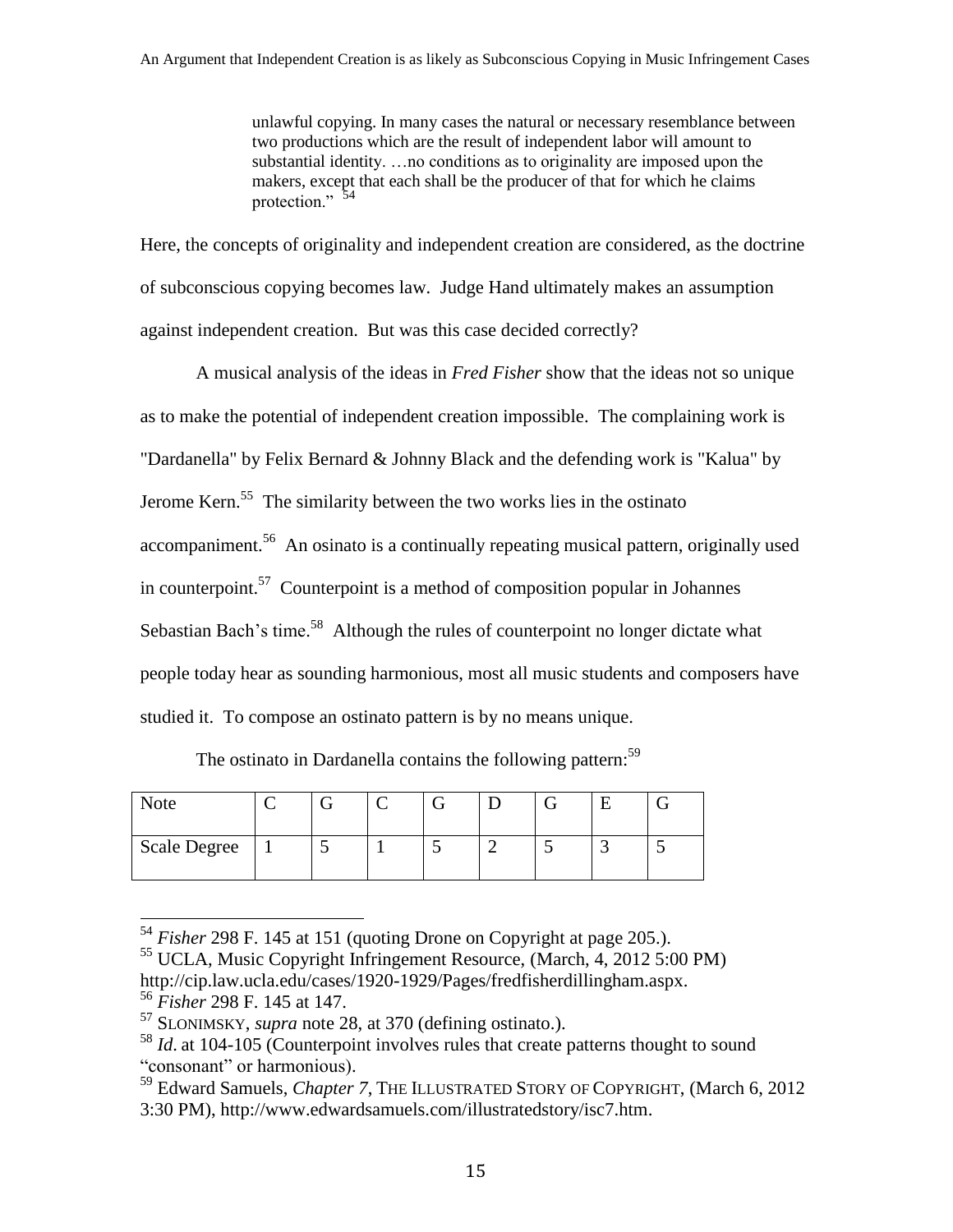unlawful copying. In many cases the natural or necessary resemblance between two productions which are the result of independent labor will amount to substantial identity. …no conditions as to originality are imposed upon the makers, except that each shall be the producer of that for which he claims protection."<sup>54</sup>

Here, the concepts of originality and independent creation are considered, as the doctrine of subconscious copying becomes law. Judge Hand ultimately makes an assumption against independent creation. But was this case decided correctly?

A musical analysis of the ideas in *Fred Fisher* show that the ideas not so unique as to make the potential of independent creation impossible. The complaining work is "Dardanella" by Felix Bernard & Johnny Black and the defending work is "Kalua" by Jerome Kern.<sup>55</sup> The similarity between the two works lies in the ostinato accompaniment.<sup>56</sup> An osinato is a continually repeating musical pattern, originally used in counterpoint.<sup>57</sup> Counterpoint is a method of composition popular in Johannes Sebastian Bach's time.<sup>58</sup> Although the rules of counterpoint no longer dictate what people today hear as sounding harmonious, most all music students and composers have studied it. To compose an ostinato pattern is by no means unique.

The ostinato in Dardanella contains the following pattern:  $59$ 

| Note                |  |  |  |  |
|---------------------|--|--|--|--|
| <b>Scale Degree</b> |  |  |  |  |

<sup>54</sup> *Fisher* 298 F. 145 at 151 (quoting Drone on Copyright at page 205.).

<sup>55</sup> UCLA, Music Copyright Infringement Resource, (March, 4, 2012 5:00 PM) http://cip.law.ucla.edu/cases/1920-1929/Pages/fredfisherdillingham.aspx. <sup>56</sup> *Fisher* 298 F. 145 at 147.

<sup>57</sup> SLONIMSKY, *supra* note 28, at 370 (defining ostinato.).

<sup>&</sup>lt;sup>58</sup> *Id.* at 104-105 (Counterpoint involves rules that create patterns thought to sound "consonant" or harmonious).

<sup>59</sup> Edward Samuels, *Chapter 7*, THE ILLUSTRATED STORY OF COPYRIGHT, (March 6, 2012 3:30 PM), http://www.edwardsamuels.com/illustratedstory/isc7.htm.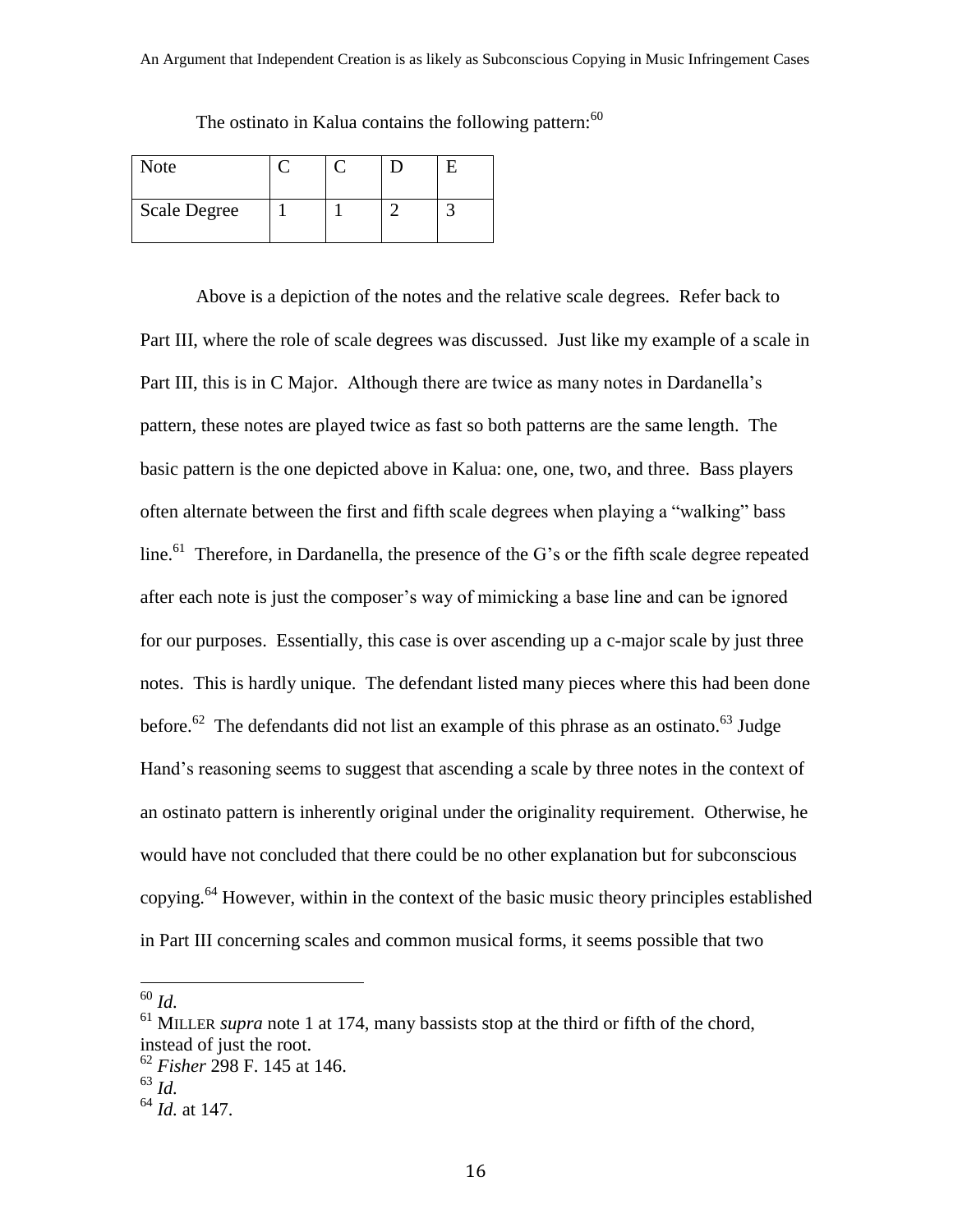| <b>Note</b>         |  |  |
|---------------------|--|--|
| <b>Scale Degree</b> |  |  |

The ostinato in Kalua contains the following pattern:  $60$ 

Above is a depiction of the notes and the relative scale degrees. Refer back to Part III, where the role of scale degrees was discussed. Just like my example of a scale in Part III, this is in C Major. Although there are twice as many notes in Dardanella's pattern, these notes are played twice as fast so both patterns are the same length. The basic pattern is the one depicted above in Kalua: one, one, two, and three. Bass players often alternate between the first and fifth scale degrees when playing a "walking" bass line.<sup>61</sup> Therefore, in Dardanella, the presence of the G's or the fifth scale degree repeated after each note is just the composer's way of mimicking a base line and can be ignored for our purposes. Essentially, this case is over ascending up a c-major scale by just three notes. This is hardly unique. The defendant listed many pieces where this had been done before.<sup>62</sup> The defendants did not list an example of this phrase as an ostinato.<sup>63</sup> Judge Hand's reasoning seems to suggest that ascending a scale by three notes in the context of an ostinato pattern is inherently original under the originality requirement. Otherwise, he would have not concluded that there could be no other explanation but for subconscious copying.<sup>64</sup> However, within in the context of the basic music theory principles established in Part III concerning scales and common musical forms, it seems possible that two

<sup>60</sup> *Id.*

<sup>&</sup>lt;sup>61</sup> MILLER *supra* note 1 at 174, many bassists stop at the third or fifth of the chord, instead of just the root.

<sup>62</sup> *Fisher* 298 F. 145 at 146.

<sup>63</sup> *Id.*

<sup>64</sup> *Id.* at 147.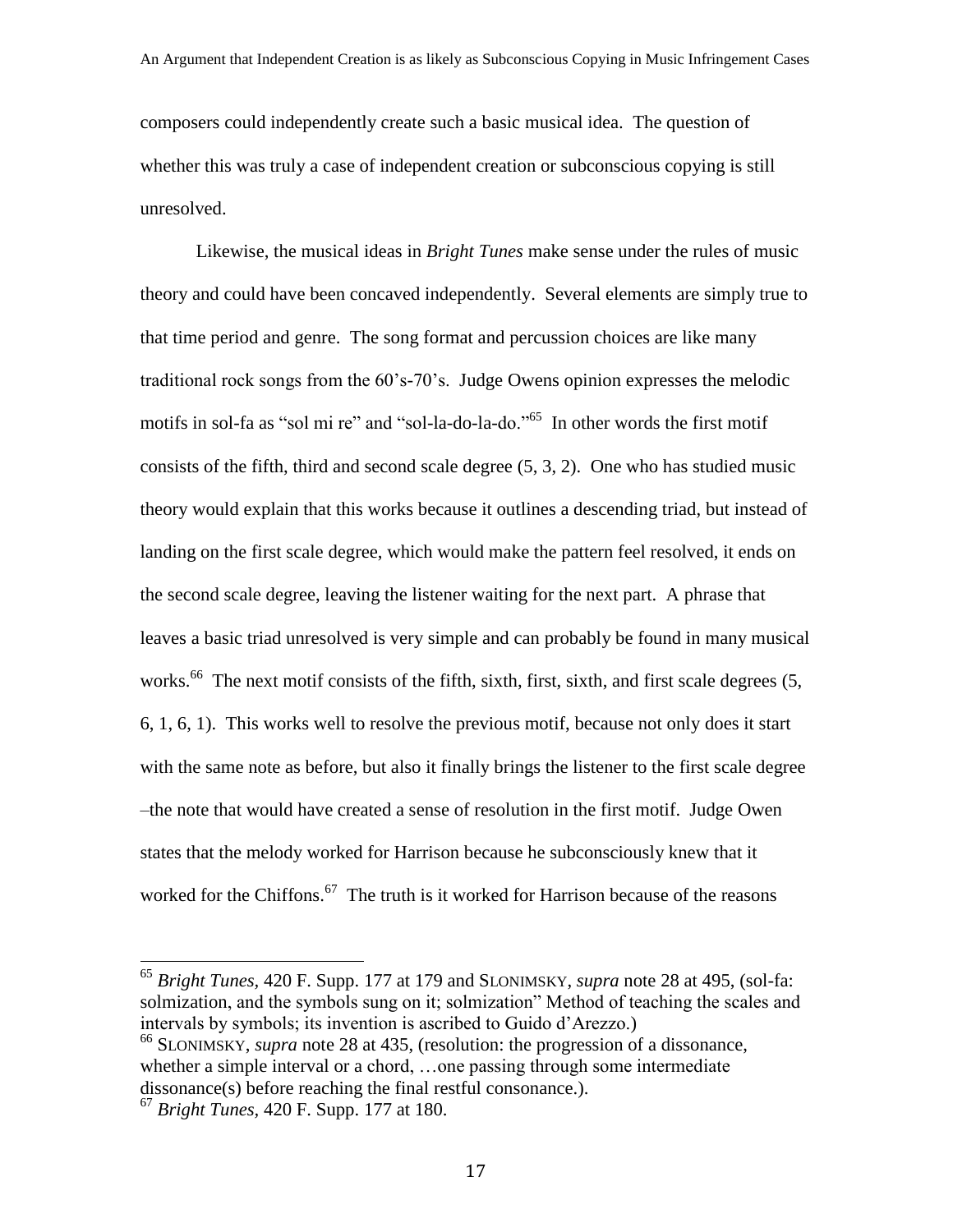composers could independently create such a basic musical idea. The question of whether this was truly a case of independent creation or subconscious copying is still unresolved.

Likewise, the musical ideas in *Bright Tunes* make sense under the rules of music theory and could have been concaved independently. Several elements are simply true to that time period and genre. The song format and percussion choices are like many traditional rock songs from the 60's-70's. Judge Owens opinion expresses the melodic motifs in sol-fa as "sol mi re" and "sol-la-do-la-do."<sup>65</sup> In other words the first motif consists of the fifth, third and second scale degree (5, 3, 2). One who has studied music theory would explain that this works because it outlines a descending triad, but instead of landing on the first scale degree, which would make the pattern feel resolved, it ends on the second scale degree, leaving the listener waiting for the next part. A phrase that leaves a basic triad unresolved is very simple and can probably be found in many musical works.<sup>66</sup> The next motif consists of the fifth, sixth, first, sixth, and first scale degrees (5, 6, 1, 6, 1). This works well to resolve the previous motif, because not only does it start with the same note as before, but also it finally brings the listener to the first scale degree –the note that would have created a sense of resolution in the first motif. Judge Owen states that the melody worked for Harrison because he subconsciously knew that it worked for the Chiffons.<sup>67</sup> The truth is it worked for Harrison because of the reasons

<sup>66</sup> SLONIMSKY, *supra* note 28 at 435, (resolution: the progression of a dissonance, whether a simple interval or a chord, ...one passing through some intermediate dissonance(s) before reaching the final restful consonance.).

<sup>65</sup> *Bright Tunes,* 420 F. Supp. 177 at 179 and SLONIMSKY, *supra* note 28 at 495, (sol-fa: solmization, and the symbols sung on it; solmization" Method of teaching the scales and intervals by symbols; its invention is ascribed to Guido d'Arezzo.)

<sup>67</sup> *Bright Tunes,* 420 F. Supp. 177 at 180.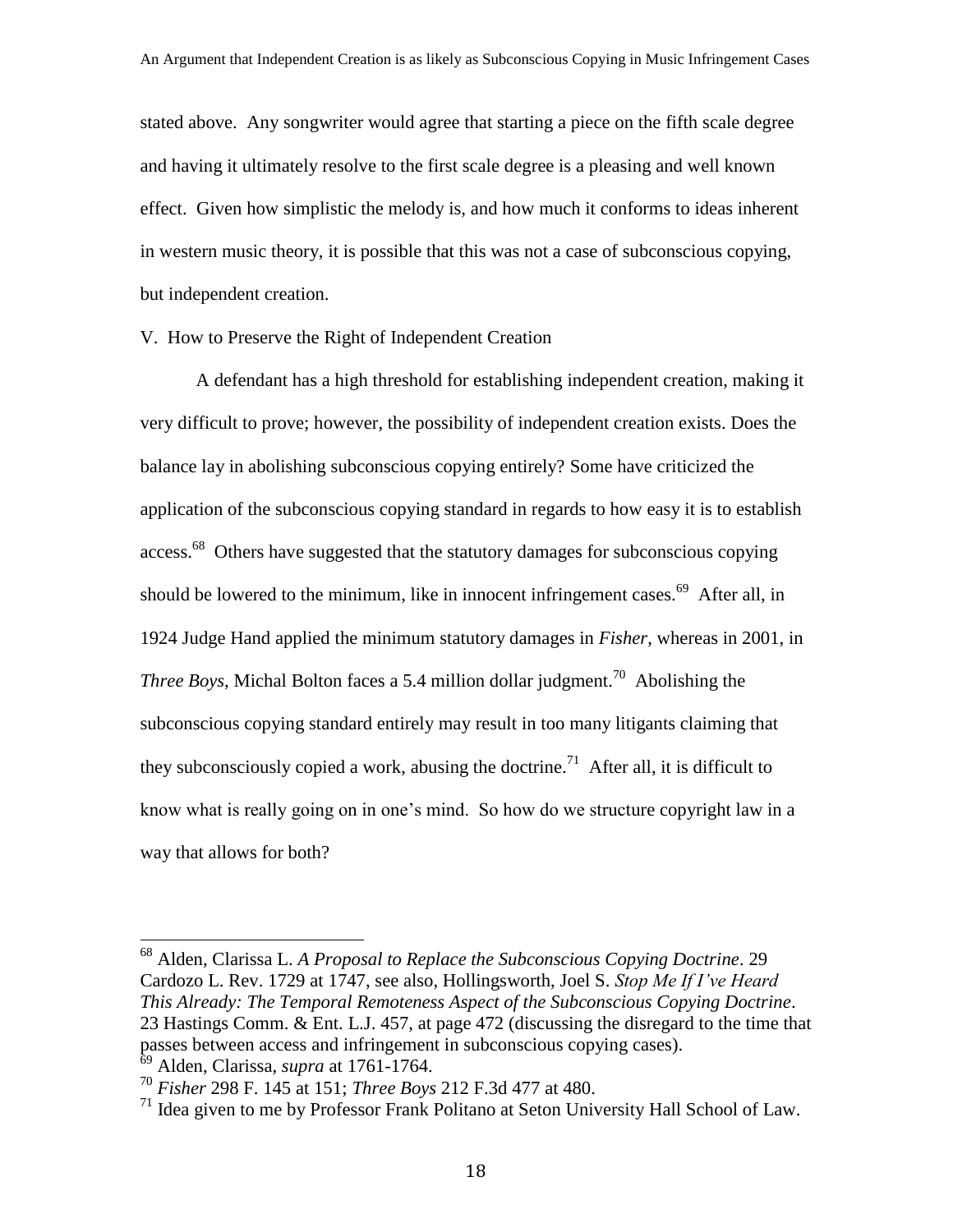stated above. Any songwriter would agree that starting a piece on the fifth scale degree and having it ultimately resolve to the first scale degree is a pleasing and well known effect. Given how simplistic the melody is, and how much it conforms to ideas inherent in western music theory, it is possible that this was not a case of subconscious copying, but independent creation.

#### V. How to Preserve the Right of Independent Creation

A defendant has a high threshold for establishing independent creation, making it very difficult to prove; however, the possibility of independent creation exists. Does the balance lay in abolishing subconscious copying entirely? Some have criticized the application of the subconscious copying standard in regards to how easy it is to establish access.<sup>68</sup> Others have suggested that the statutory damages for subconscious copying should be lowered to the minimum, like in innocent infringement cases.<sup>69</sup> After all, in 1924 Judge Hand applied the minimum statutory damages in *Fisher*, whereas in 2001, in *Three Boys*, Michal Bolton faces a 5.4 million dollar judgment.<sup>70</sup> Abolishing the subconscious copying standard entirely may result in too many litigants claiming that they subconsciously copied a work, abusing the doctrine.<sup>71</sup> After all, it is difficult to know what is really going on in one's mind. So how do we structure copyright law in a way that allows for both?

<sup>68</sup> Alden, Clarissa L. *A Proposal to Replace the Subconscious Copying Doctrine*. 29 Cardozo L. Rev. 1729 at 1747, see also, Hollingsworth, Joel S. *Stop Me If I've Heard This Already: The Temporal Remoteness Aspect of the Subconscious Copying Doctrine*. 23 Hastings Comm. & Ent. L.J. 457, at page 472 (discussing the disregard to the time that passes between access and infringement in subconscious copying cases). <sup>69</sup> Alden, Clarissa, *supra* at 1761-1764.

<sup>70</sup> *Fisher* 298 F. 145 at 151; *Three Boys* 212 F.3d 477 at 480.

 $<sup>71</sup>$  Idea given to me by Professor Frank Politano at Seton University Hall School of Law.</sup>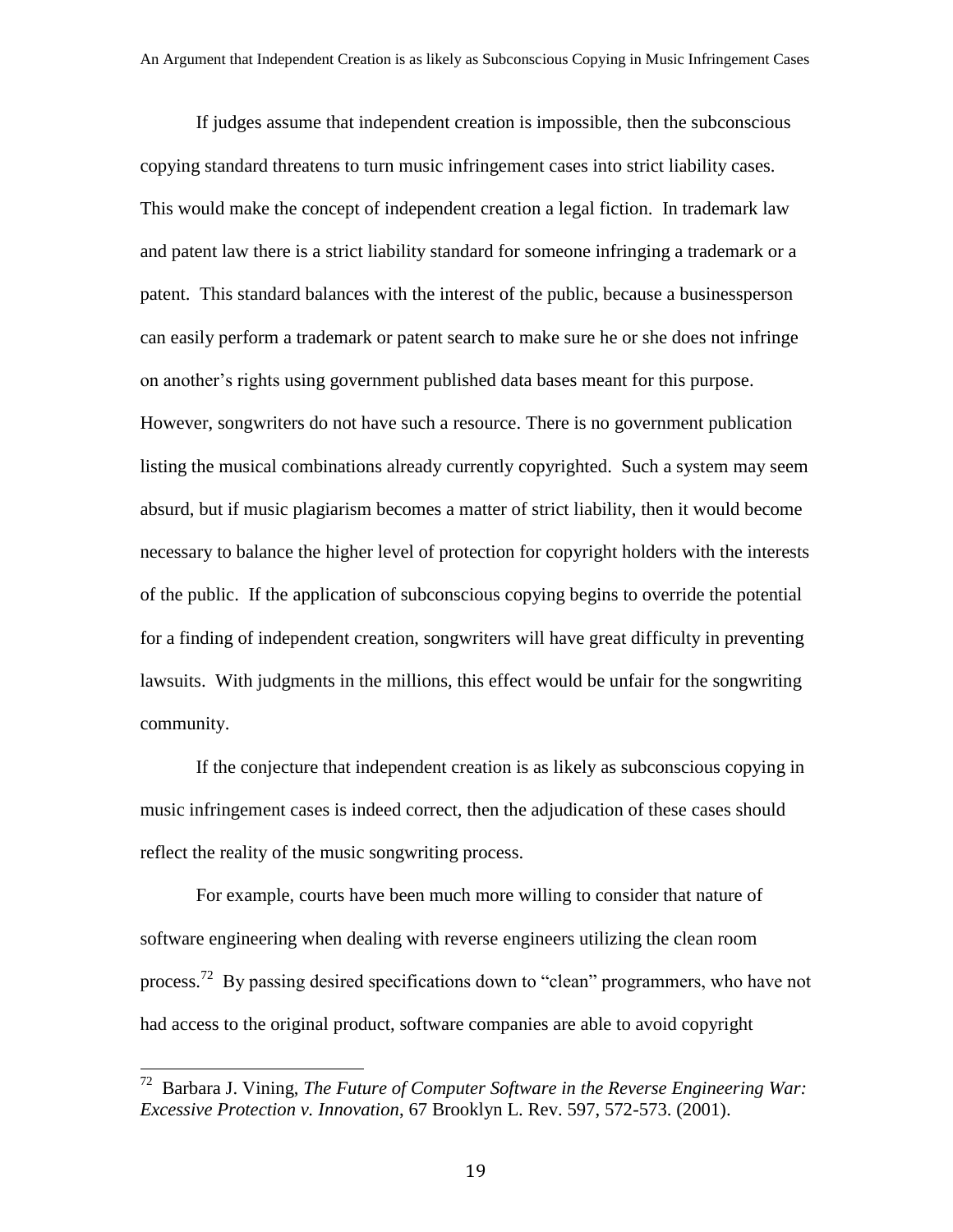If judges assume that independent creation is impossible, then the subconscious copying standard threatens to turn music infringement cases into strict liability cases. This would make the concept of independent creation a legal fiction. In trademark law and patent law there is a strict liability standard for someone infringing a trademark or a patent. This standard balances with the interest of the public, because a businessperson can easily perform a trademark or patent search to make sure he or she does not infringe on another's rights using government published data bases meant for this purpose. However, songwriters do not have such a resource. There is no government publication listing the musical combinations already currently copyrighted. Such a system may seem absurd, but if music plagiarism becomes a matter of strict liability, then it would become necessary to balance the higher level of protection for copyright holders with the interests of the public. If the application of subconscious copying begins to override the potential for a finding of independent creation, songwriters will have great difficulty in preventing lawsuits. With judgments in the millions, this effect would be unfair for the songwriting community.

If the conjecture that independent creation is as likely as subconscious copying in music infringement cases is indeed correct, then the adjudication of these cases should reflect the reality of the music songwriting process.

For example, courts have been much more willing to consider that nature of software engineering when dealing with reverse engineers utilizing the clean room process.<sup>72</sup> By passing desired specifications down to "clean" programmers, who have not had access to the original product, software companies are able to avoid copyright

 72 Barbara J. Vining, *The Future of Computer Software in the Reverse Engineering War: Excessive Protection v. Innovation*, 67 Brooklyn L. Rev. 597, 572-573. (2001).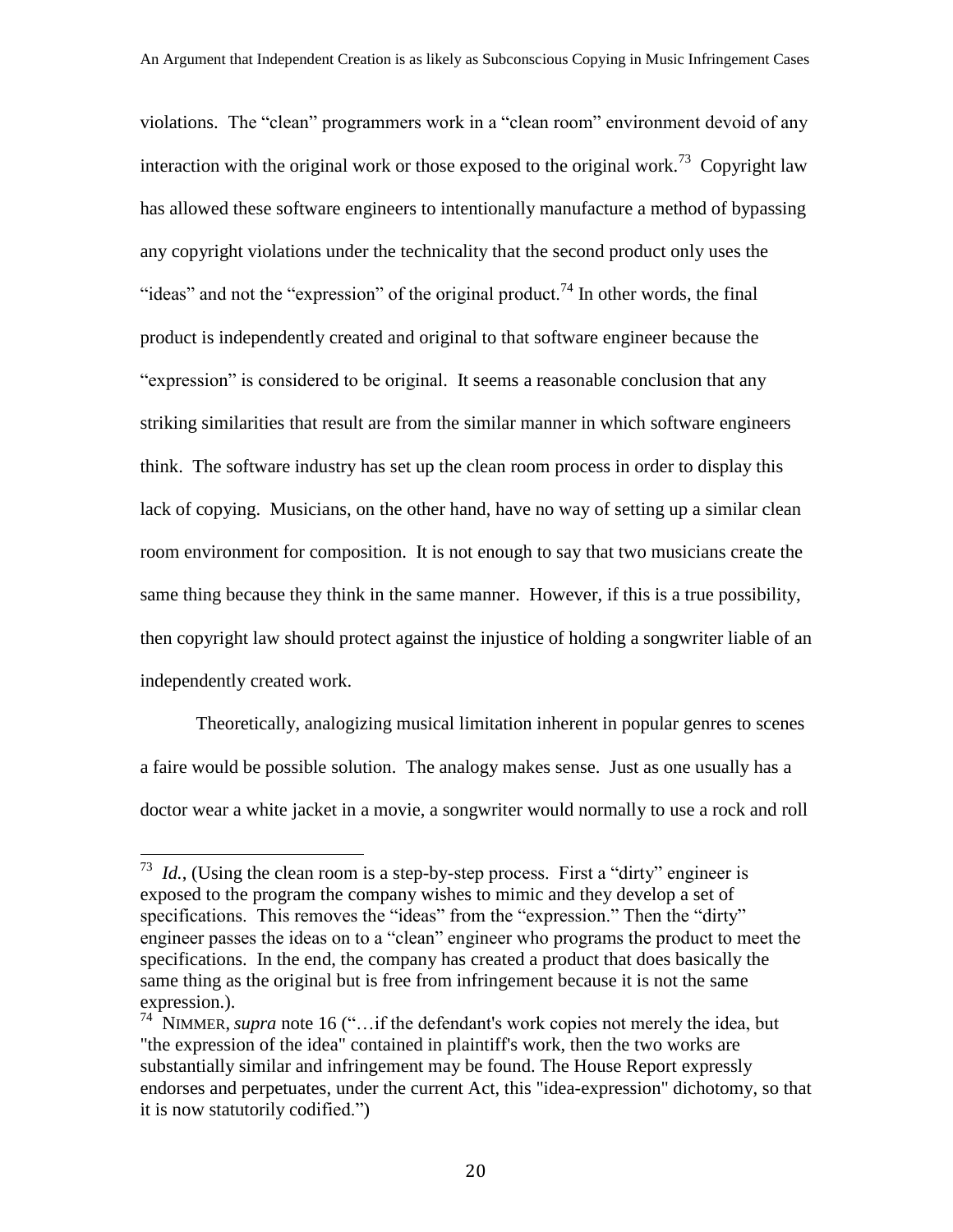violations. The "clean" programmers work in a "clean room" environment devoid of any interaction with the original work or those exposed to the original work.<sup>73</sup> Copyright law has allowed these software engineers to intentionally manufacture a method of bypassing any copyright violations under the technicality that the second product only uses the "ideas" and not the "expression" of the original product.<sup>74</sup> In other words, the final product is independently created and original to that software engineer because the "expression" is considered to be original. It seems a reasonable conclusion that any striking similarities that result are from the similar manner in which software engineers think. The software industry has set up the clean room process in order to display this lack of copying. Musicians, on the other hand, have no way of setting up a similar clean room environment for composition. It is not enough to say that two musicians create the same thing because they think in the same manner. However, if this is a true possibility, then copyright law should protect against the injustice of holding a songwriter liable of an independently created work.

Theoretically, analogizing musical limitation inherent in popular genres to scenes a faire would be possible solution. The analogy makes sense. Just as one usually has a doctor wear a white jacket in a movie, a songwriter would normally to use a rock and roll

<sup>&</sup>lt;sup>73</sup> *Id.*, (Using the clean room is a step-by-step process. First a "dirty" engineer is exposed to the program the company wishes to mimic and they develop a set of specifications. This removes the "ideas" from the "expression." Then the "dirty" engineer passes the ideas on to a "clean" engineer who programs the product to meet the specifications. In the end, the company has created a product that does basically the same thing as the original but is free from infringement because it is not the same expression.).

<sup>&</sup>lt;sup>74</sup> NIMMER, *supra* note 16 ("... if the defendant's work copies not merely the idea, but "the expression of the idea" contained in plaintiff's work, then the two works are substantially similar and infringement may be found. The House Report expressly endorses and perpetuates, under the current Act, this "idea-expression" dichotomy, so that it is now statutorily codified.")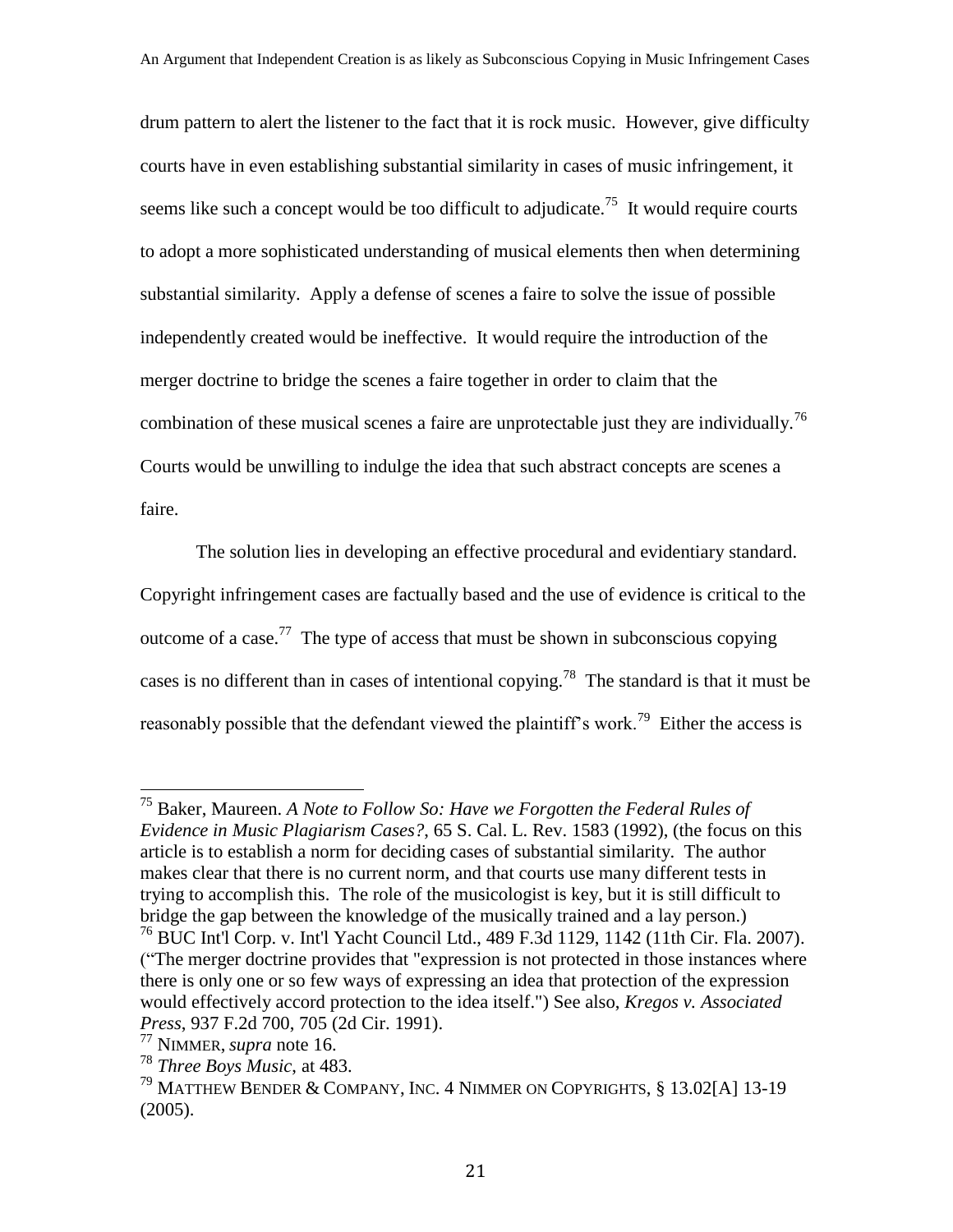drum pattern to alert the listener to the fact that it is rock music. However, give difficulty courts have in even establishing substantial similarity in cases of music infringement, it seems like such a concept would be too difficult to adjudicate.<sup>75</sup> It would require courts to adopt a more sophisticated understanding of musical elements then when determining substantial similarity. Apply a defense of scenes a faire to solve the issue of possible independently created would be ineffective. It would require the introduction of the merger doctrine to bridge the scenes a faire together in order to claim that the combination of these musical scenes a faire are unprotectable just they are individually.<sup>76</sup> Courts would be unwilling to indulge the idea that such abstract concepts are scenes a faire.

The solution lies in developing an effective procedural and evidentiary standard. Copyright infringement cases are factually based and the use of evidence is critical to the outcome of a case.<sup>77</sup> The type of access that must be shown in subconscious copying cases is no different than in cases of intentional copying.<sup>78</sup> The standard is that it must be reasonably possible that the defendant viewed the plaintiff's work.<sup>79</sup> Either the access is

<sup>75</sup> Baker, Maureen. *A Note to Follow So: Have we Forgotten the Federal Rules of Evidence in Music Plagiarism Cases?*, 65 S. Cal. L. Rev. 1583 (1992), (the focus on this article is to establish a norm for deciding cases of substantial similarity. The author makes clear that there is no current norm, and that courts use many different tests in trying to accomplish this. The role of the musicologist is key, but it is still difficult to bridge the gap between the knowledge of the musically trained and a lay person.)

<sup>76</sup> BUC Int'l Corp. v. Int'l Yacht Council Ltd., 489 F.3d 1129, 1142 (11th Cir. Fla. 2007). ("The merger doctrine provides that "expression is not protected in those instances where there is only one or so few ways of expressing an idea that protection of the expression would effectively accord protection to the idea itself.") See also, *Kregos v. Associated Press*, 937 F.2d 700, 705 (2d Cir. 1991).

<sup>77</sup> NIMMER, *supra* note 16.

<sup>78</sup> *Three Boys Music*, at 483.

<sup>79</sup> MATTHEW BENDER & COMPANY, INC. 4 NIMMER ON COPYRIGHTS, § 13.02[A] 13-19 (2005).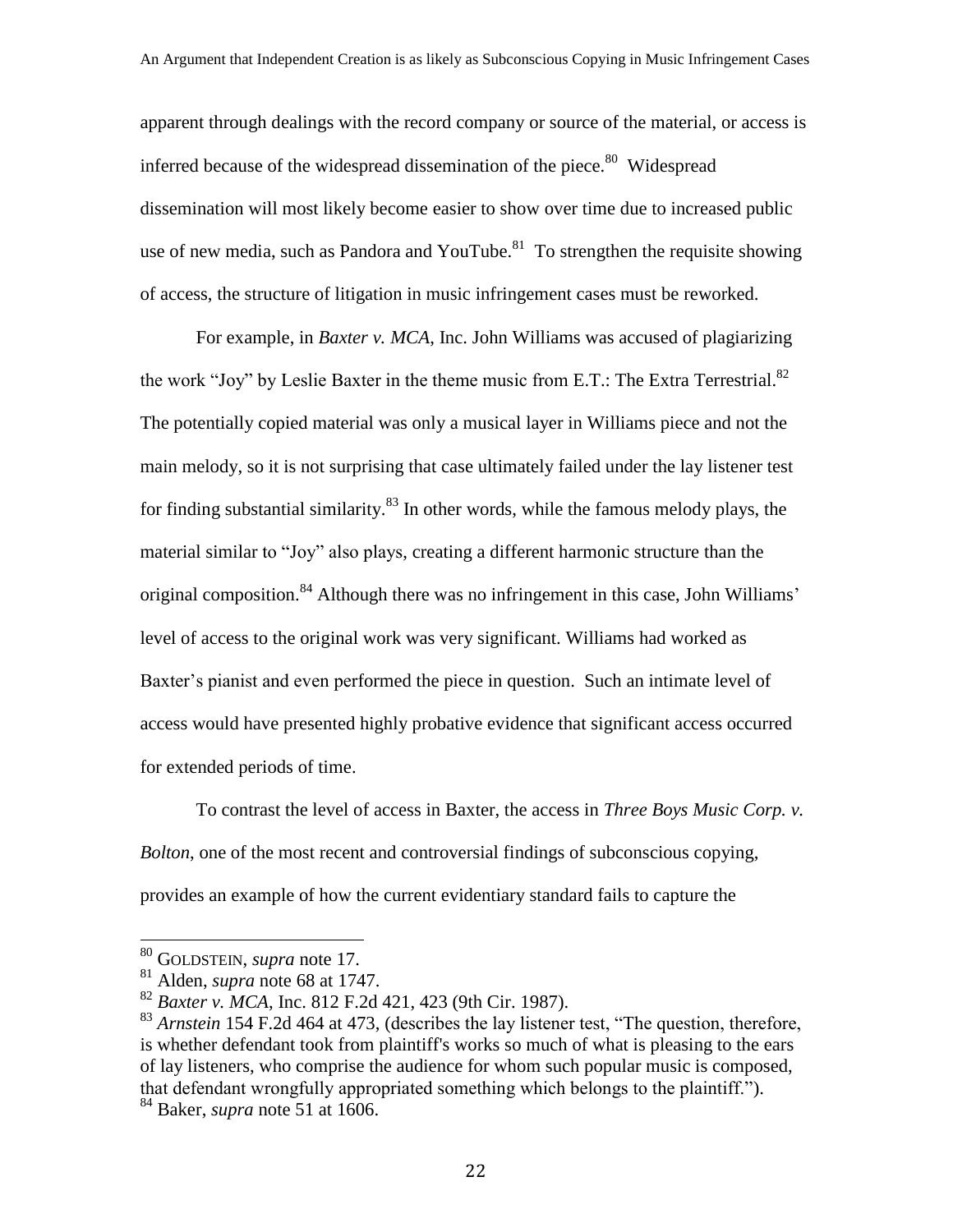apparent through dealings with the record company or source of the material, or access is inferred because of the widespread dissemination of the piece.<sup>80</sup> Widespread dissemination will most likely become easier to show over time due to increased public use of new media, such as Pandora and YouTube. $81$  To strengthen the requisite showing of access, the structure of litigation in music infringement cases must be reworked.

For example, in *Baxter v. MCA*, Inc. John Williams was accused of plagiarizing the work "Joy" by Leslie Baxter in the theme music from E.T.: The Extra Terrestrial. $^{82}$ The potentially copied material was only a musical layer in Williams piece and not the main melody, so it is not surprising that case ultimately failed under the lay listener test for finding substantial similarity.<sup>83</sup> In other words, while the famous melody plays, the material similar to "Joy" also plays, creating a different harmonic structure than the original composition.<sup>84</sup> Although there was no infringement in this case, John Williams' level of access to the original work was very significant. Williams had worked as Baxter's pianist and even performed the piece in question. Such an intimate level of access would have presented highly probative evidence that significant access occurred for extended periods of time.

To contrast the level of access in Baxter, the access in *Three Boys Music Corp. v. Bolton*, one of the most recent and controversial findings of subconscious copying, provides an example of how the current evidentiary standard fails to capture the

<sup>80</sup> GOLDSTEIN, *supra* note 17.

<sup>81</sup> Alden, *supra* note 68 at 1747.

<sup>82</sup> *Baxter v. MCA*, Inc. 812 F.2d 421, 423 (9th Cir. 1987).

<sup>&</sup>lt;sup>83</sup> Arnstein 154 F.2d 464 at 473, (describes the lay listener test, "The question, therefore, is whether defendant took from plaintiff's works so much of what is pleasing to the ears of lay listeners, who comprise the audience for whom such popular music is composed, that defendant wrongfully appropriated something which belongs to the plaintiff.").

<sup>84</sup> Baker, *supra* note 51 at 1606.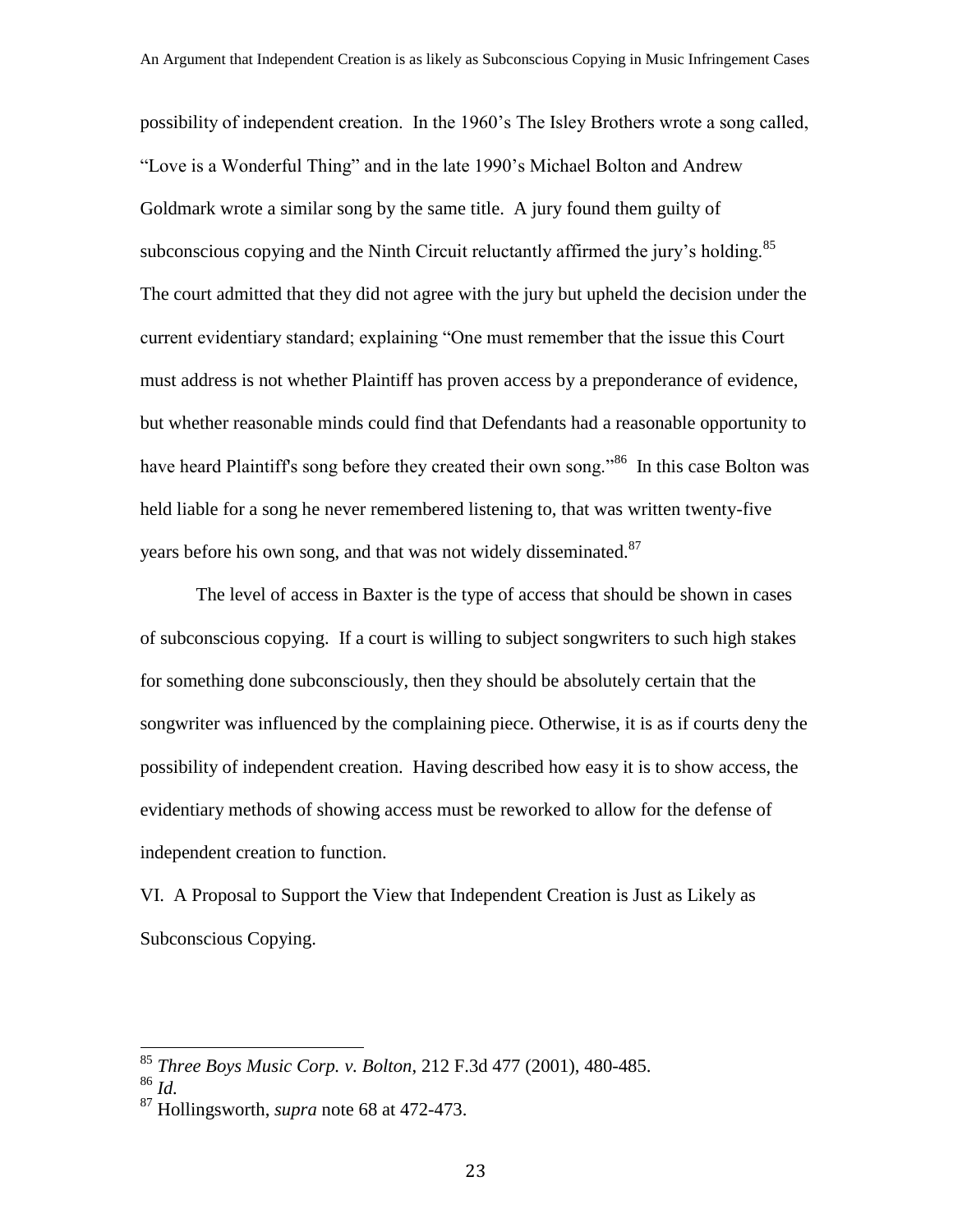possibility of independent creation. In the 1960's The Isley Brothers wrote a song called, "Love is a Wonderful Thing" and in the late 1990's Michael Bolton and Andrew Goldmark wrote a similar song by the same title. A jury found them guilty of subconscious copying and the Ninth Circuit reluctantly affirmed the jury's holding. $85$ The court admitted that they did not agree with the jury but upheld the decision under the current evidentiary standard; explaining "One must remember that the issue this Court must address is not whether Plaintiff has proven access by a preponderance of evidence, but whether reasonable minds could find that Defendants had a reasonable opportunity to have heard Plaintiff's song before they created their own song."<sup>86</sup> In this case Bolton was held liable for a song he never remembered listening to, that was written twenty-five years before his own song, and that was not widely disseminated.<sup>87</sup>

The level of access in Baxter is the type of access that should be shown in cases of subconscious copying. If a court is willing to subject songwriters to such high stakes for something done subconsciously, then they should be absolutely certain that the songwriter was influenced by the complaining piece. Otherwise, it is as if courts deny the possibility of independent creation. Having described how easy it is to show access, the evidentiary methods of showing access must be reworked to allow for the defense of independent creation to function.

VI. A Proposal to Support the View that Independent Creation is Just as Likely as Subconscious Copying.

<sup>85</sup> *Three Boys Music Corp. v. Bolton*, 212 F.3d 477 (2001), 480-485.

<sup>86</sup> *Id.*

<sup>87</sup> Hollingsworth, *supra* note 68 at 472-473.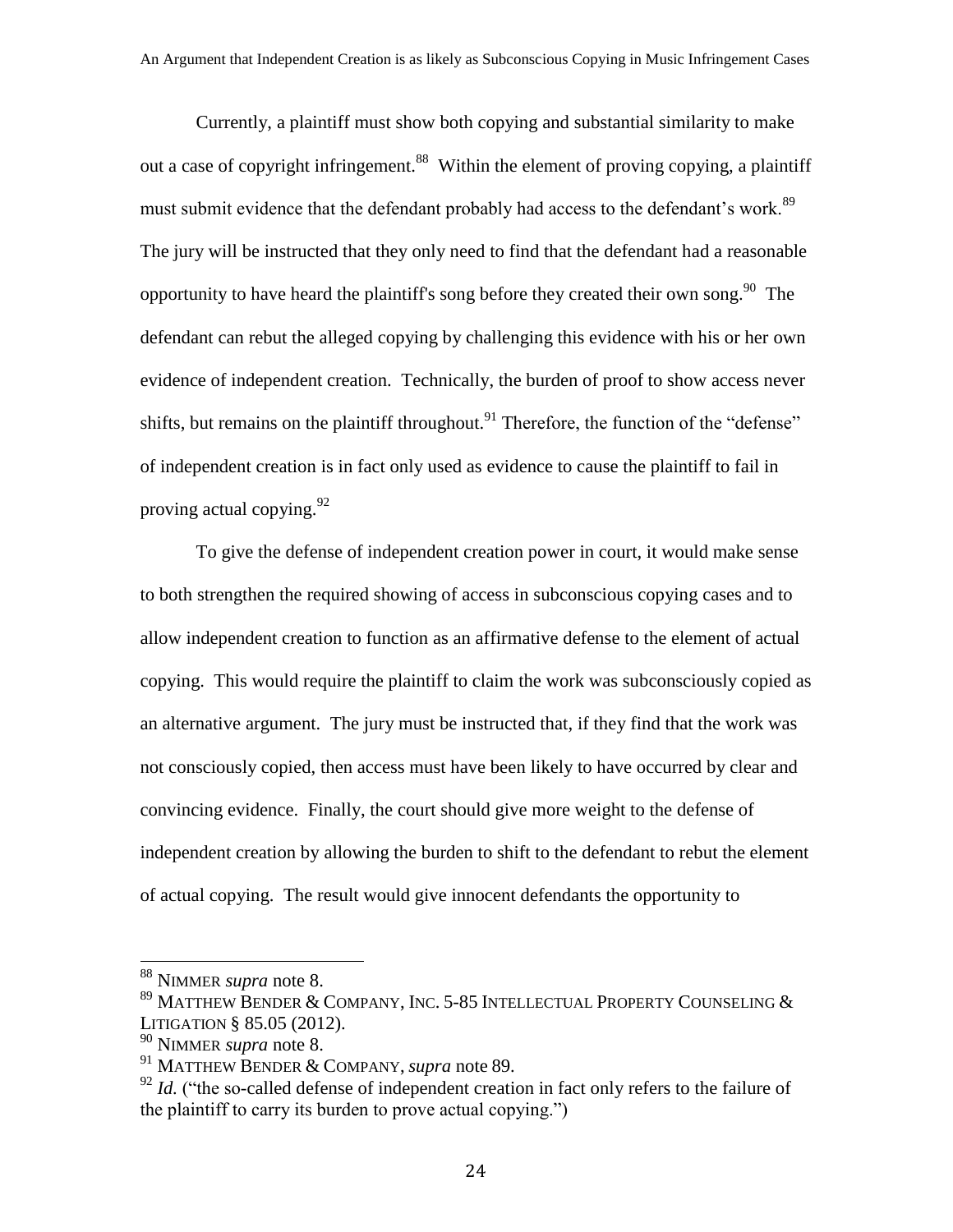Currently, a plaintiff must show both copying and substantial similarity to make out a case of copyright infringement.<sup>88</sup> Within the element of proving copying, a plaintiff must submit evidence that the defendant probably had access to the defendant's work.<sup>89</sup> The jury will be instructed that they only need to find that the defendant had a reasonable opportunity to have heard the plaintiff's song before they created their own song.<sup>90</sup> The defendant can rebut the alleged copying by challenging this evidence with his or her own evidence of independent creation. Technically, the burden of proof to show access never shifts, but remains on the plaintiff throughout.<sup>91</sup> Therefore, the function of the "defense" of independent creation is in fact only used as evidence to cause the plaintiff to fail in proving actual copying.  $92$ 

To give the defense of independent creation power in court, it would make sense to both strengthen the required showing of access in subconscious copying cases and to allow independent creation to function as an affirmative defense to the element of actual copying. This would require the plaintiff to claim the work was subconsciously copied as an alternative argument. The jury must be instructed that, if they find that the work was not consciously copied, then access must have been likely to have occurred by clear and convincing evidence. Finally, the court should give more weight to the defense of independent creation by allowing the burden to shift to the defendant to rebut the element of actual copying. The result would give innocent defendants the opportunity to

<sup>88</sup> NIMMER *supra* note 8.

 $^{89}$  Matthew Bender & Company, Inc. 5-85 Intellectual Property Counseling & LITIGATION § 85.05 (2012).

<sup>90</sup> NIMMER *supra* note 8.

<sup>91</sup> MATTHEW BENDER & COMPANY, *supra* note 89.

 $92$  *Id.* ("the so-called defense of independent creation in fact only refers to the failure of the plaintiff to carry its burden to prove actual copying.")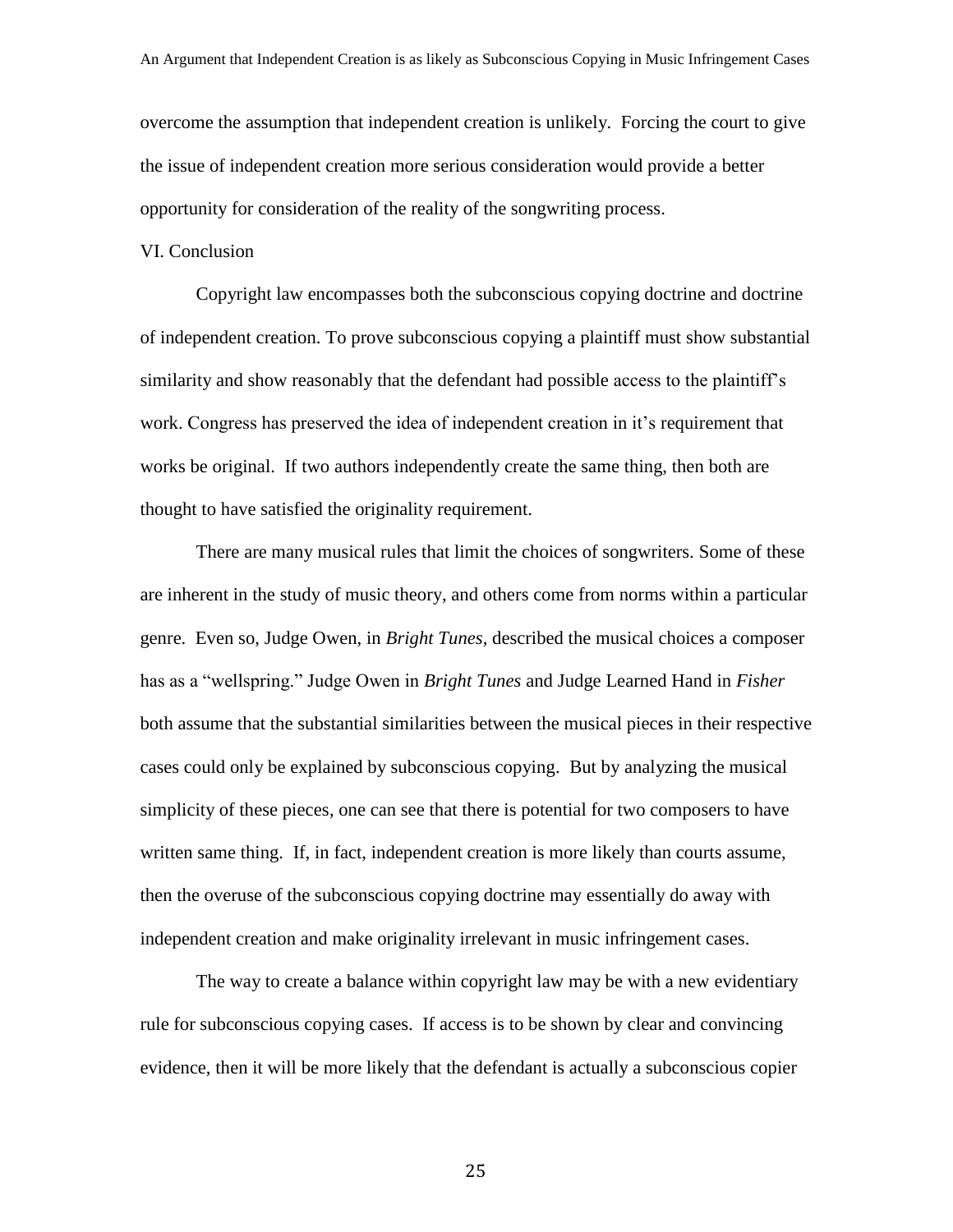overcome the assumption that independent creation is unlikely. Forcing the court to give the issue of independent creation more serious consideration would provide a better opportunity for consideration of the reality of the songwriting process.

#### VI. Conclusion

Copyright law encompasses both the subconscious copying doctrine and doctrine of independent creation. To prove subconscious copying a plaintiff must show substantial similarity and show reasonably that the defendant had possible access to the plaintiff's work. Congress has preserved the idea of independent creation in it's requirement that works be original. If two authors independently create the same thing, then both are thought to have satisfied the originality requirement.

There are many musical rules that limit the choices of songwriters. Some of these are inherent in the study of music theory, and others come from norms within a particular genre. Even so, Judge Owen, in *Bright Tunes*, described the musical choices a composer has as a "wellspring." Judge Owen in *Bright Tunes* and Judge Learned Hand in *Fisher* both assume that the substantial similarities between the musical pieces in their respective cases could only be explained by subconscious copying. But by analyzing the musical simplicity of these pieces, one can see that there is potential for two composers to have written same thing. If, in fact, independent creation is more likely than courts assume, then the overuse of the subconscious copying doctrine may essentially do away with independent creation and make originality irrelevant in music infringement cases.

The way to create a balance within copyright law may be with a new evidentiary rule for subconscious copying cases. If access is to be shown by clear and convincing evidence, then it will be more likely that the defendant is actually a subconscious copier

25